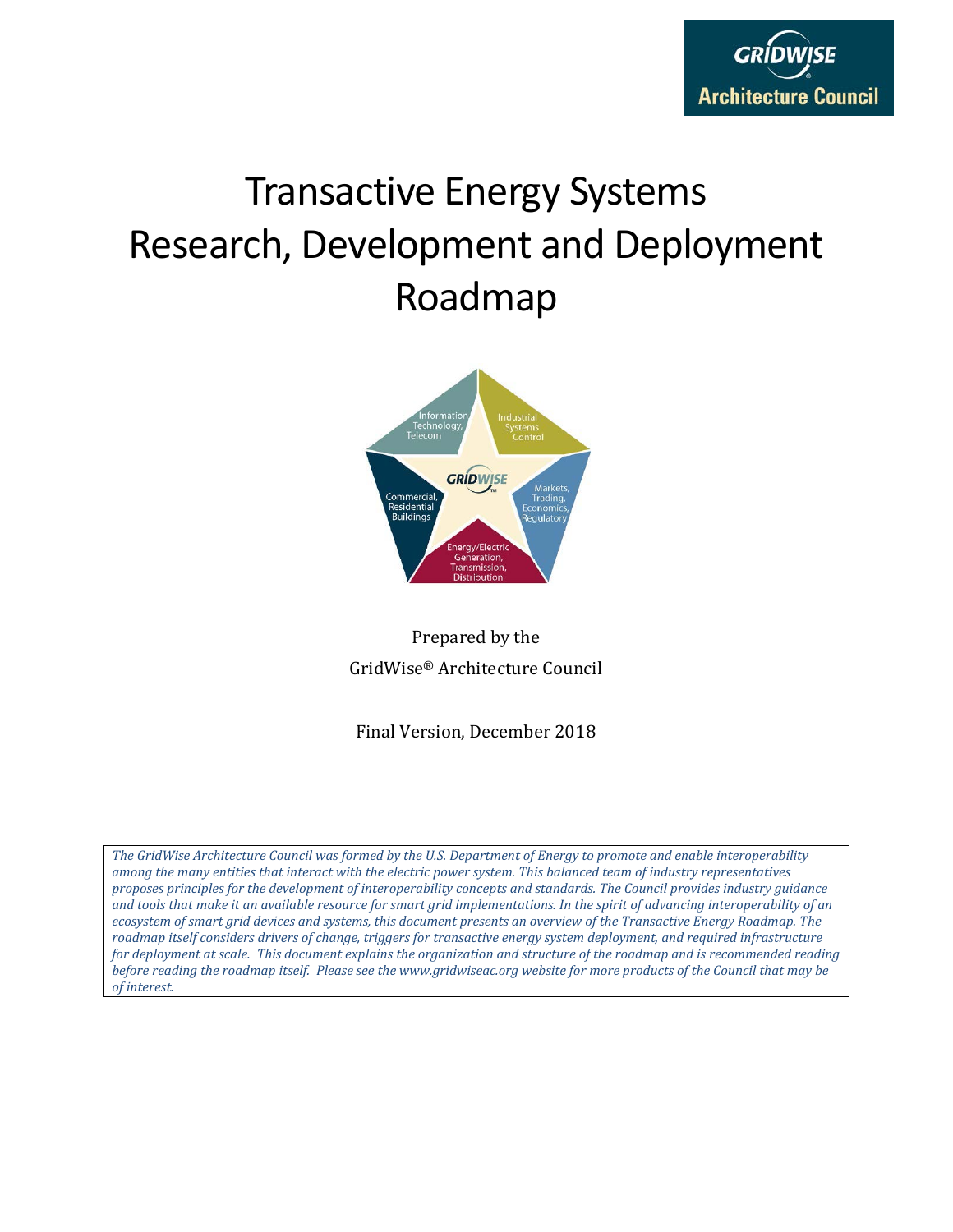

# Transactive Energy Systems Research, Development and Deployment Roadmap



Prepared by the GridWise® Architecture Council

Final Version, December 2018

*The GridWise Architecture Council was formed by the U.S. Department of Energy to promote and enable interoperability among the many entities that interact with the electric power system. This balanced team of industry representatives proposes principles for the development of interoperability concepts and standards. The Council provides industry guidance and tools that make it an available resource for smart grid implementations. In the spirit of advancing interoperability of an ecosystem of smart grid devices and systems, this document presents an overview of the Transactive Energy Roadmap. The roadmap itself considers drivers of change, triggers for transactive energy system deployment, and required infrastructure for deployment at scale. This document explains the organization and structure of the roadmap and is recommended reading before reading the roadmap itself. Please see the www.gridwiseac.org website for more products of the Council that may be of interest.*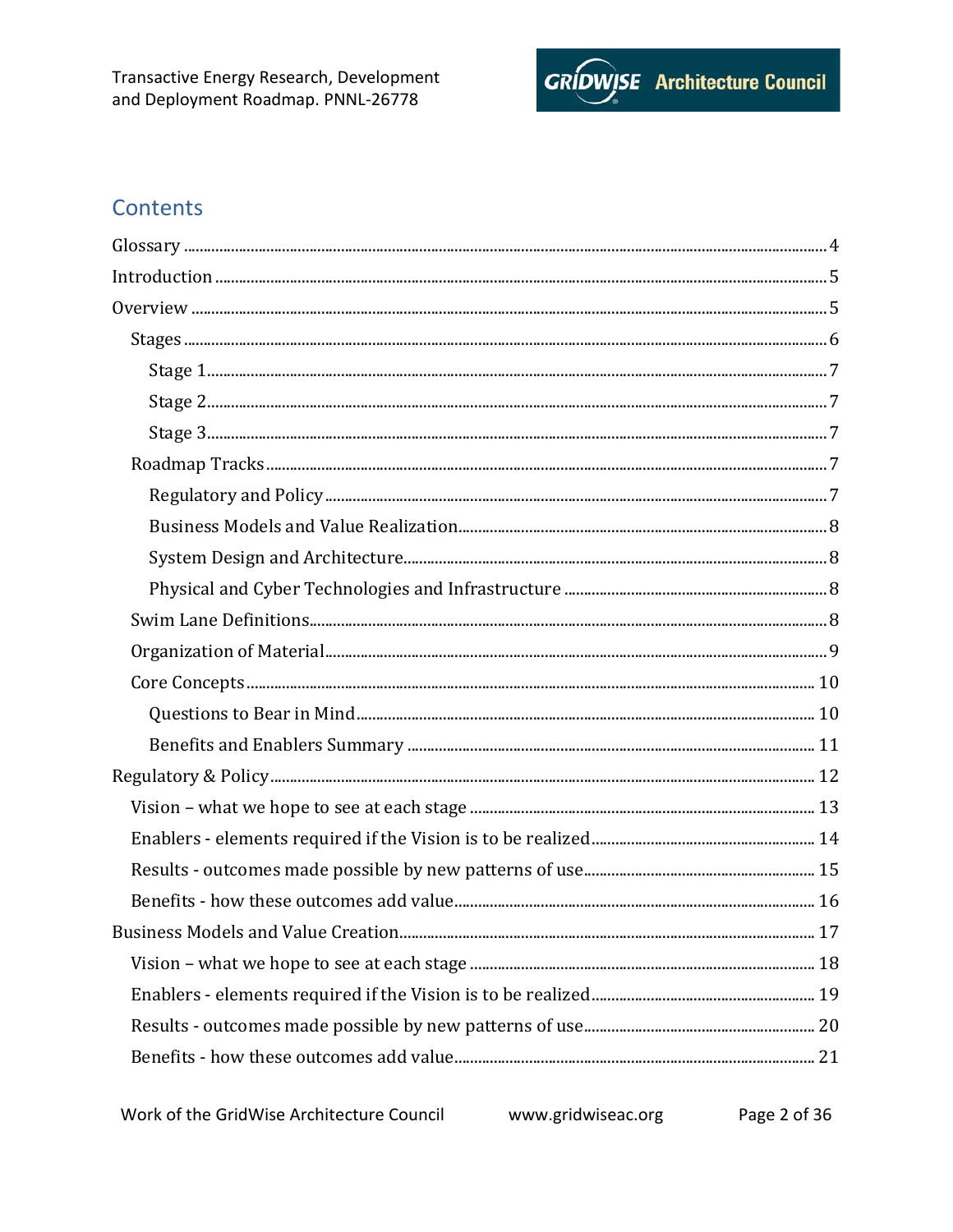

# **Contents**

www.gridwiseac.org Page 2 of 36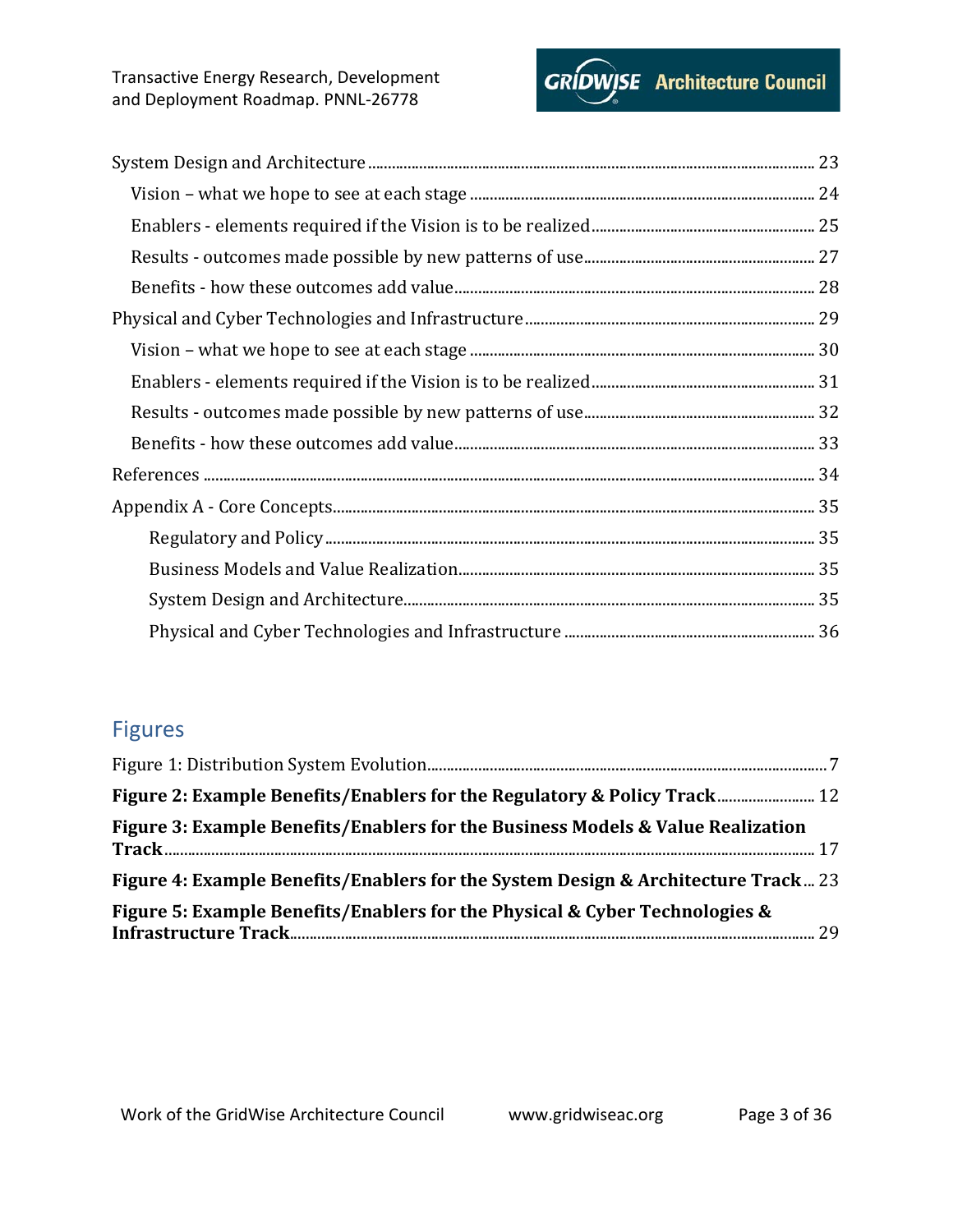

# Figures

| Figure 2: Example Benefits/Enablers for the Regulatory & Policy Track 12          |  |
|-----------------------------------------------------------------------------------|--|
| Figure 3: Example Benefits/Enablers for the Business Models & Value Realization   |  |
| Figure 4: Example Benefits/Enablers for the System Design & Architecture Track 23 |  |
| Figure 5: Example Benefits/Enablers for the Physical & Cyber Technologies &       |  |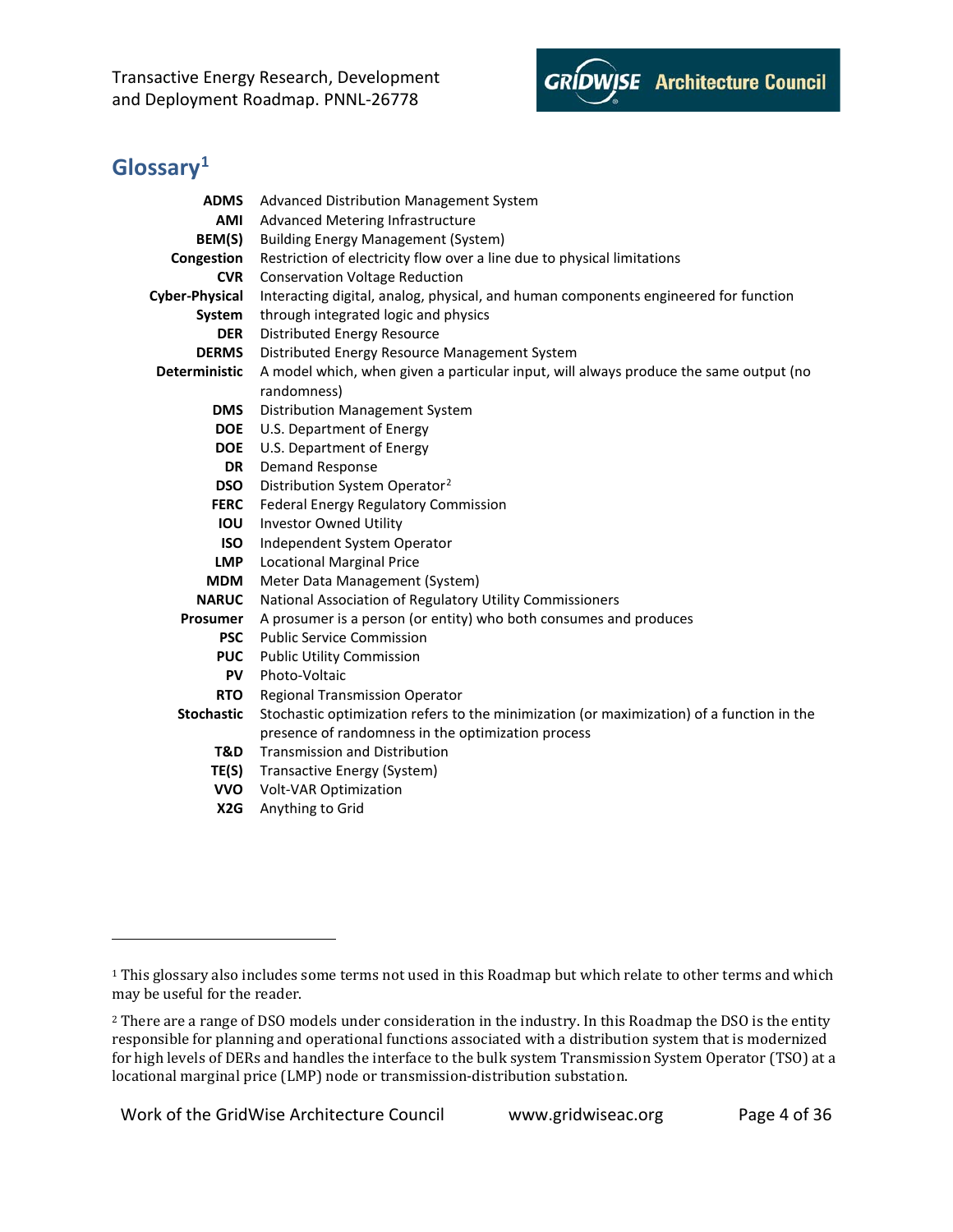

# <span id="page-3-0"></span>**Glossary[1](#page-3-1)**

i<br>I

| <b>ADMS</b>          | Advanced Distribution Management System                                                   |
|----------------------|-------------------------------------------------------------------------------------------|
| AMI                  | <b>Advanced Metering Infrastructure</b>                                                   |
| BEM(S)               | <b>Building Energy Management (System)</b>                                                |
| Congestion           | Restriction of electricity flow over a line due to physical limitations                   |
| <b>CVR</b>           | <b>Conservation Voltage Reduction</b>                                                     |
| Cyber-Physical       | Interacting digital, analog, physical, and human components engineered for function       |
| System               | through integrated logic and physics                                                      |
| <b>DER</b>           | Distributed Energy Resource                                                               |
| <b>DERMS</b>         | Distributed Energy Resource Management System                                             |
| <b>Deterministic</b> | A model which, when given a particular input, will always produce the same output (no     |
|                      | randomness)                                                                               |
| <b>DMS</b>           | Distribution Management System                                                            |
| <b>DOE</b>           | U.S. Department of Energy                                                                 |
| <b>DOE</b>           | U.S. Department of Energy                                                                 |
| <b>DR</b>            | <b>Demand Response</b>                                                                    |
| <b>DSO</b>           | Distribution System Operator <sup>2</sup>                                                 |
| <b>FERC</b>          | Federal Energy Regulatory Commission                                                      |
| <b>IOU</b>           | <b>Investor Owned Utility</b>                                                             |
| <b>ISO</b>           | Independent System Operator                                                               |
| <b>LMP</b>           | <b>Locational Marginal Price</b>                                                          |
| <b>MDM</b>           | Meter Data Management (System)                                                            |
| <b>NARUC</b>         | National Association of Regulatory Utility Commissioners                                  |
| Prosumer             | A prosumer is a person (or entity) who both consumes and produces                         |
| <b>PSC</b>           | <b>Public Service Commission</b>                                                          |
| <b>PUC</b>           | <b>Public Utility Commission</b>                                                          |
| <b>PV</b>            | Photo-Voltaic                                                                             |
| <b>RTO</b>           | Regional Transmission Operator                                                            |
| <b>Stochastic</b>    | Stochastic optimization refers to the minimization (or maximization) of a function in the |
|                      | presence of randomness in the optimization process                                        |
| T&D                  | <b>Transmission and Distribution</b>                                                      |
| TE(S)                | Transactive Energy (System)                                                               |
| <b>VVO</b>           | Volt-VAR Optimization                                                                     |
| X <sub>2</sub> G     | Anything to Grid                                                                          |

Work of the GridWise Architecture Council www.gridwiseac.org Page 4 of 36

<span id="page-3-1"></span><sup>&</sup>lt;sup>1</sup> This glossary also includes some terms not used in this Roadmap but which relate to other terms and which may be useful for the reader.

<span id="page-3-2"></span><sup>&</sup>lt;sup>2</sup> There are a range of DSO models under consideration in the industry. In this Roadmap the DSO is the entity responsible for planning and operational functions associated with a distribution system that is modernized for high levels of DERs and handles the interface to the bulk system Transmission System Operator (TSO) at a locational marginal price (LMP) node or transmission-distribution substation.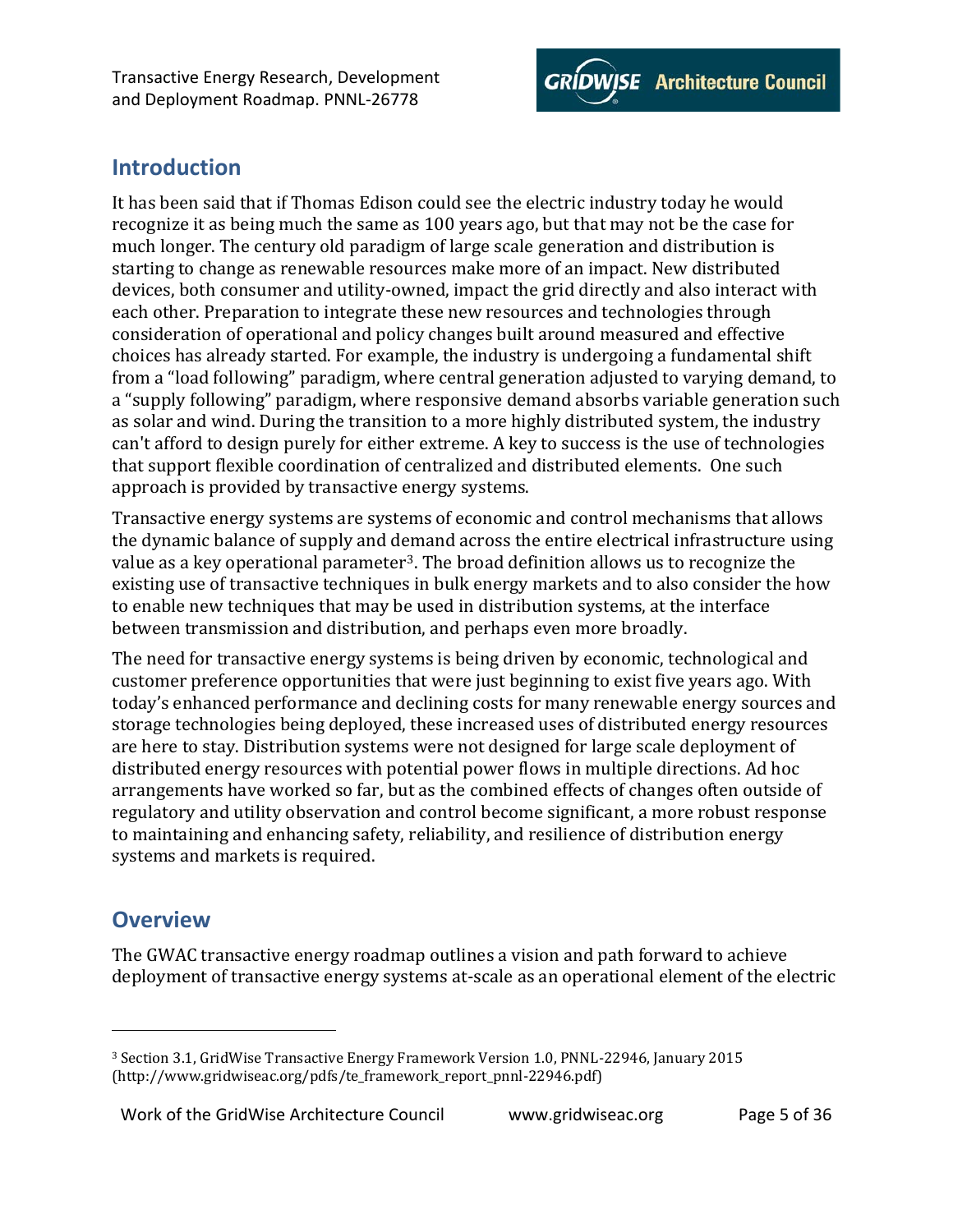

# <span id="page-4-0"></span>**Introduction**

It has been said that if Thomas Edison could see the electric industry today he would recognize it as being much the same as 100 years ago, but that may not be the case for much longer. The century old paradigm of large scale generation and distribution is starting to change as renewable resources make more of an impact. New distributed devices, both consumer and utility-owned, impact the grid directly and also interact with each other. Preparation to integrate these new resources and technologies through consideration of operational and policy changes built around measured and effective choices has already started. For example, the industry is undergoing a fundamental shift from a "load following" paradigm, where central generation adjusted to varying demand, to a "supply following" paradigm, where responsive demand absorbs variable generation such as solar and wind. During the transition to a more highly distributed system, the industry can't afford to design purely for either extreme. A key to success is the use of technologies that support flexible coordination of centralized and distributed elements. One such approach is provided by transactive energy systems.

Transactive energy systems are systems of economic and control mechanisms that allows the dynamic balance of supply and demand across the entire electrical infrastructure using value as a key operational parameter[3](#page-4-2). The broad definition allows us to recognize the existing use of transactive techniques in bulk energy markets and to also consider the how to enable new techniques that may be used in distribution systems, at the interface between transmission and distribution, and perhaps even more broadly.

The need for transactive energy systems is being driven by economic, technological and customer preference opportunities that were just beginning to exist five years ago. With today's enhanced performance and declining costs for many renewable energy sources and storage technologies being deployed, these increased uses of distributed energy resources are here to stay. Distribution systems were not designed for large scale deployment of distributed energy resources with potential power flows in multiple directions. Ad hoc arrangements have worked so far, but as the combined effects of changes often outside of regulatory and utility observation and control become significant, a more robust response to maintaining and enhancing safety, reliability, and resilience of distribution energy systems and markets is required.

# <span id="page-4-1"></span>**Overview**

I

The GWAC transactive energy roadmap outlines a vision and path forward to achieve deployment of transactive energy systems at-scale as an operational element of the electric

<span id="page-4-2"></span><sup>3</sup> Section 3.1, GridWise Transactive Energy Framework Version 1.0, PNNL-22946, January 2015 (http://www.gridwiseac.org/pdfs/te\_framework\_report\_pnnl-22946.pdf)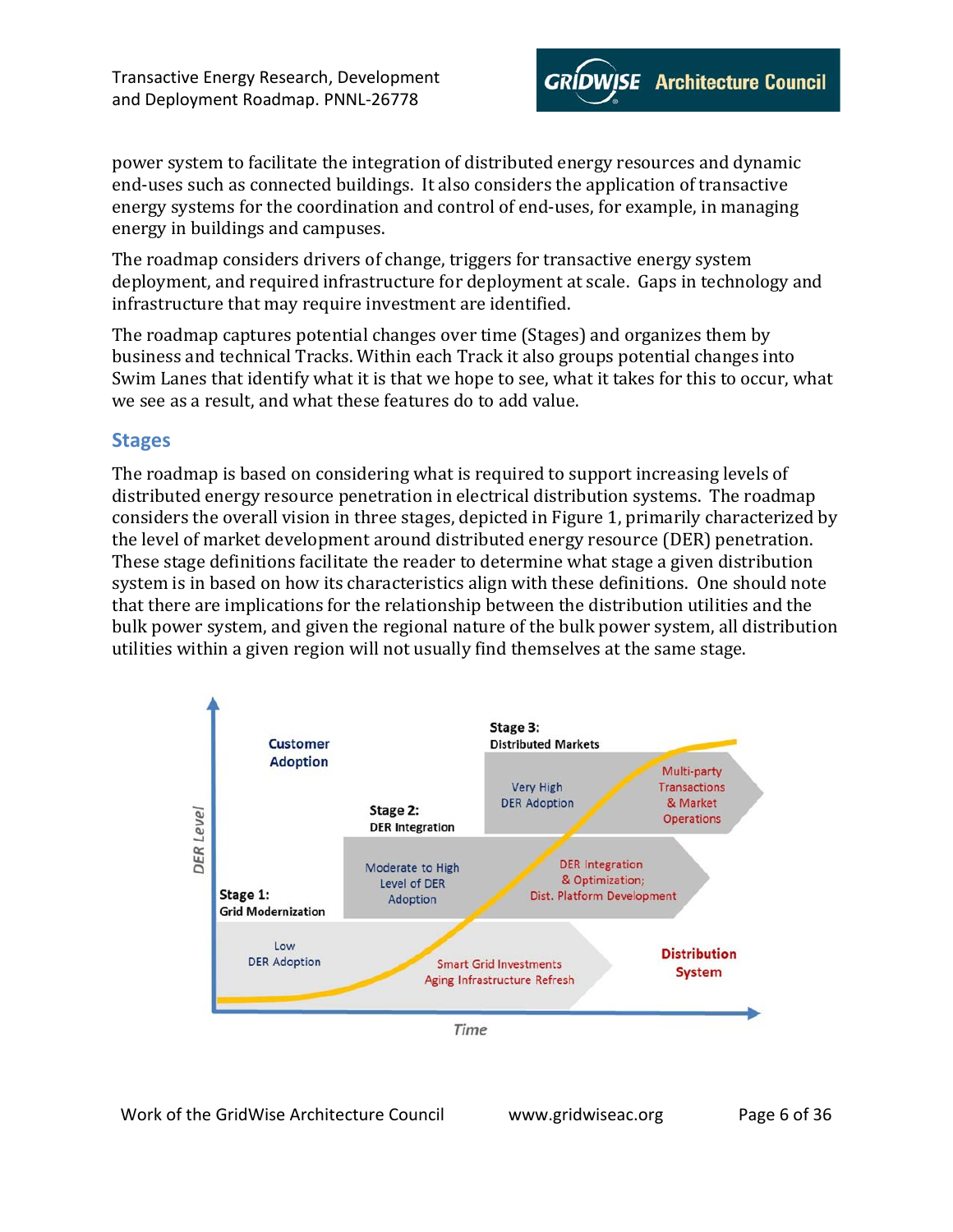

power system to facilitate the integration of distributed energy resources and dynamic end-uses such as connected buildings. It also considers the application of transactive energy systems for the coordination and control of end-uses, for example, in managing energy in buildings and campuses.

The roadmap considers drivers of change, triggers for transactive energy system deployment, and required infrastructure for deployment at scale. Gaps in technology and infrastructure that may require investment are identified.

The roadmap captures potential changes over time (Stages) and organizes them by business and technical Tracks. Within each Track it also groups potential changes into Swim Lanes that identify what it is that we hope to see, what it takes for this to occur, what we see as a result, and what these features do to add value.

### <span id="page-5-0"></span>**Stages**

The roadmap is based on considering what is required to support increasing levels of distributed energy resource penetration in electrical distribution systems. The roadmap considers the overall vision in three stages, depicted i[n Figure 1,](#page-6-5) primarily characterized by the level of market development around distributed energy resource (DER) penetration. These stage definitions facilitate the reader to determine what stage a given distribution system is in based on how its characteristics align with these definitions. One should note that there are implications for the relationship between the distribution utilities and the bulk power system, and given the regional nature of the bulk power system, all distribution utilities within a given region will not usually find themselves at the same stage.



Work of the GridWise Architecture Council www.gridwiseac.org Page 6 of 36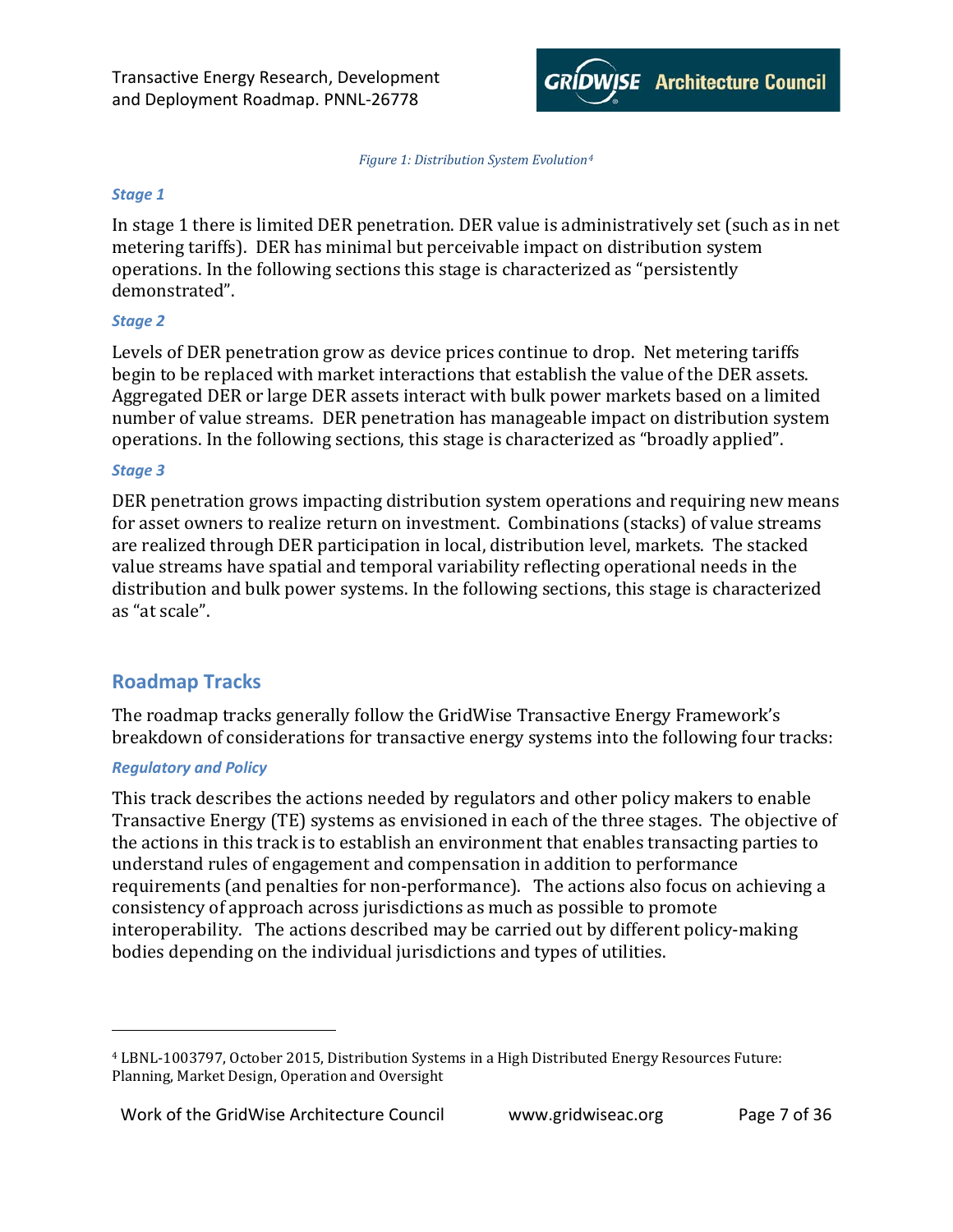

*Figure 1: Distribution System Evolution[4](#page-6-6)*

#### <span id="page-6-5"></span><span id="page-6-0"></span>*Stage 1*

In stage 1 there is limited DER penetration. DER value is administratively set (such as in net metering tariffs). DER has minimal but perceivable impact on distribution system operations. In the following sections this stage is characterized as "persistently demonstrated".

#### <span id="page-6-1"></span>*Stage 2*

Levels of DER penetration grow as device prices continue to drop. Net metering tariffs begin to be replaced with market interactions that establish the value of the DER assets. Aggregated DER or large DER assets interact with bulk power markets based on a limited number of value streams. DER penetration has manageable impact on distribution system operations. In the following sections, this stage is characterized as "broadly applied".

#### <span id="page-6-2"></span>*Stage 3*

DER penetration grows impacting distribution system operations and requiring new means for asset owners to realize return on investment. Combinations (stacks) of value streams are realized through DER participation in local, distribution level, markets. The stacked value streams have spatial and temporal variability reflecting operational needs in the distribution and bulk power systems. In the following sections, this stage is characterized as "at scale".

# <span id="page-6-3"></span>**Roadmap Tracks**

The roadmap tracks generally follow the GridWise Transactive Energy Framework's breakdown of considerations for transactive energy systems into the following four tracks:

#### <span id="page-6-4"></span>*Regulatory and Policy*

I

This track describes the actions needed by regulators and other policy makers to enable Transactive Energy (TE) systems as envisioned in each of the three stages. The objective of the actions in this track is to establish an environment that enables transacting parties to understand rules of engagement and compensation in addition to performance requirements (and penalties for non-performance). The actions also focus on achieving a consistency of approach across jurisdictions as much as possible to promote interoperability. The actions described may be carried out by different policy-making bodies depending on the individual jurisdictions and types of utilities.

<span id="page-6-6"></span><sup>4</sup> LBNL-1003797, October 2015, Distribution Systems in a High Distributed Energy Resources Future: Planning, Market Design, Operation and Oversight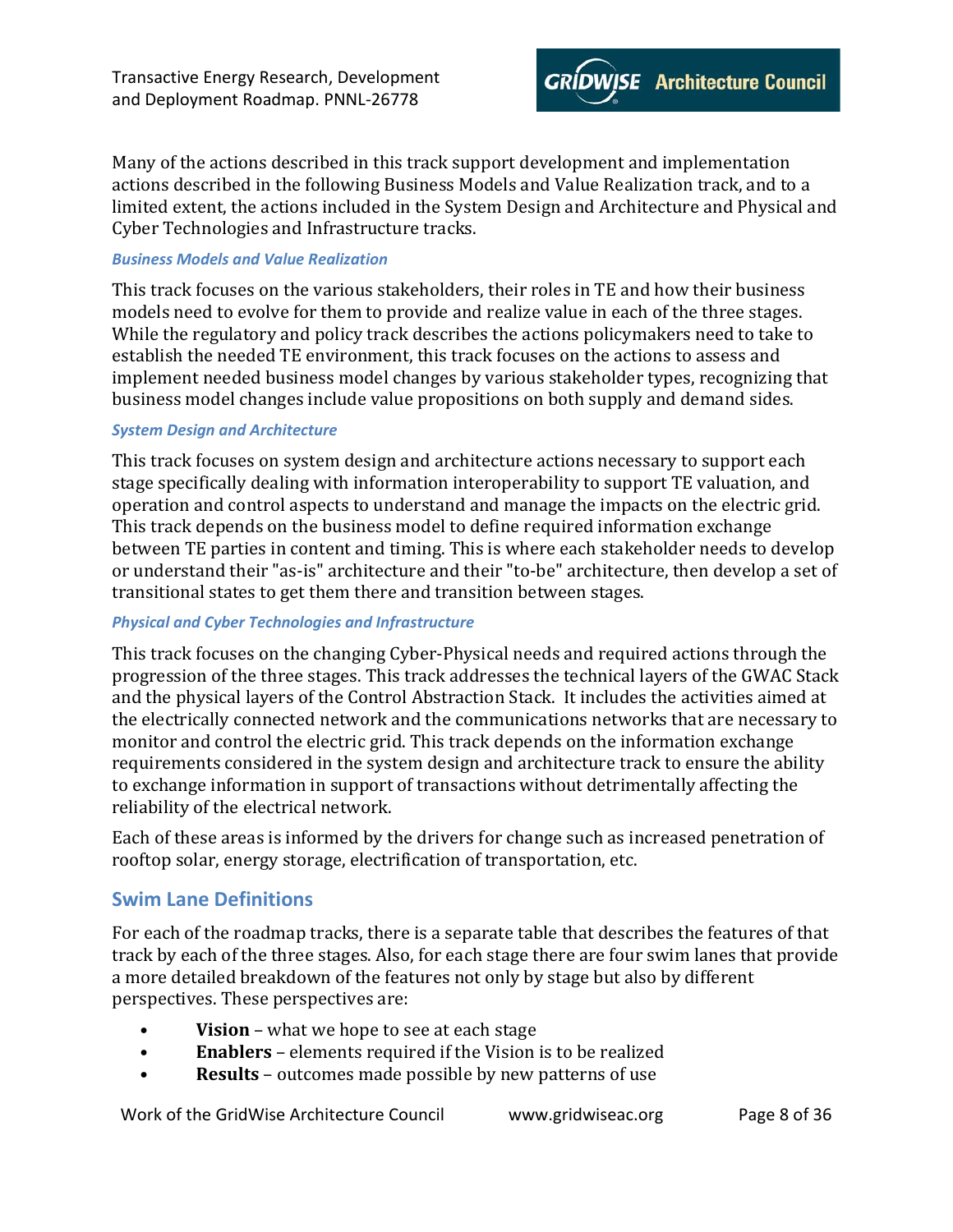

Many of the actions described in this track support development and implementation actions described in the following Business Models and Value Realization track, and to a limited extent, the actions included in the System Design and Architecture and Physical and Cyber Technologies and Infrastructure tracks.

#### <span id="page-7-0"></span>*Business Models and Value Realization*

This track focuses on the various stakeholders, their roles in TE and how their business models need to evolve for them to provide and realize value in each of the three stages. While the regulatory and policy track describes the actions policymakers need to take to establish the needed TE environment, this track focuses on the actions to assess and implement needed business model changes by various stakeholder types, recognizing that business model changes include value propositions on both supply and demand sides.

#### <span id="page-7-1"></span>*System Design and Architecture*

This track focuses on system design and architecture actions necessary to support each stage specifically dealing with information interoperability to support TE valuation, and operation and control aspects to understand and manage the impacts on the electric grid. This track depends on the business model to define required information exchange between TE parties in content and timing. This is where each stakeholder needs to develop or understand their "as-is" architecture and their "to-be" architecture, then develop a set of transitional states to get them there and transition between stages.

#### <span id="page-7-2"></span>*Physical and Cyber Technologies and Infrastructure*

This track focuses on the changing Cyber-Physical needs and required actions through the progression of the three stages. This track addresses the technical layers of the GWAC Stack and the physical layers of the Control Abstraction Stack. It includes the activities aimed at the electrically connected network and the communications networks that are necessary to monitor and control the electric grid. This track depends on the information exchange requirements considered in the system design and architecture track to ensure the ability to exchange information in support of transactions without detrimentally affecting the reliability of the electrical network.

Each of these areas is informed by the drivers for change such as increased penetration of rooftop solar, energy storage, electrification of transportation, etc.

### <span id="page-7-3"></span>**Swim Lane Definitions**

For each of the roadmap tracks, there is a separate table that describes the features of that track by each of the three stages. Also, for each stage there are four swim lanes that provide a more detailed breakdown of the features not only by stage but also by different perspectives. These perspectives are:

- **Vision** what we hope to see at each stage
- **Enablers** elements required if the Vision is to be realized
- **Results** outcomes made possible by new patterns of use

Work of the GridWise Architecture Council www.gridwiseac.org Page 8 of 36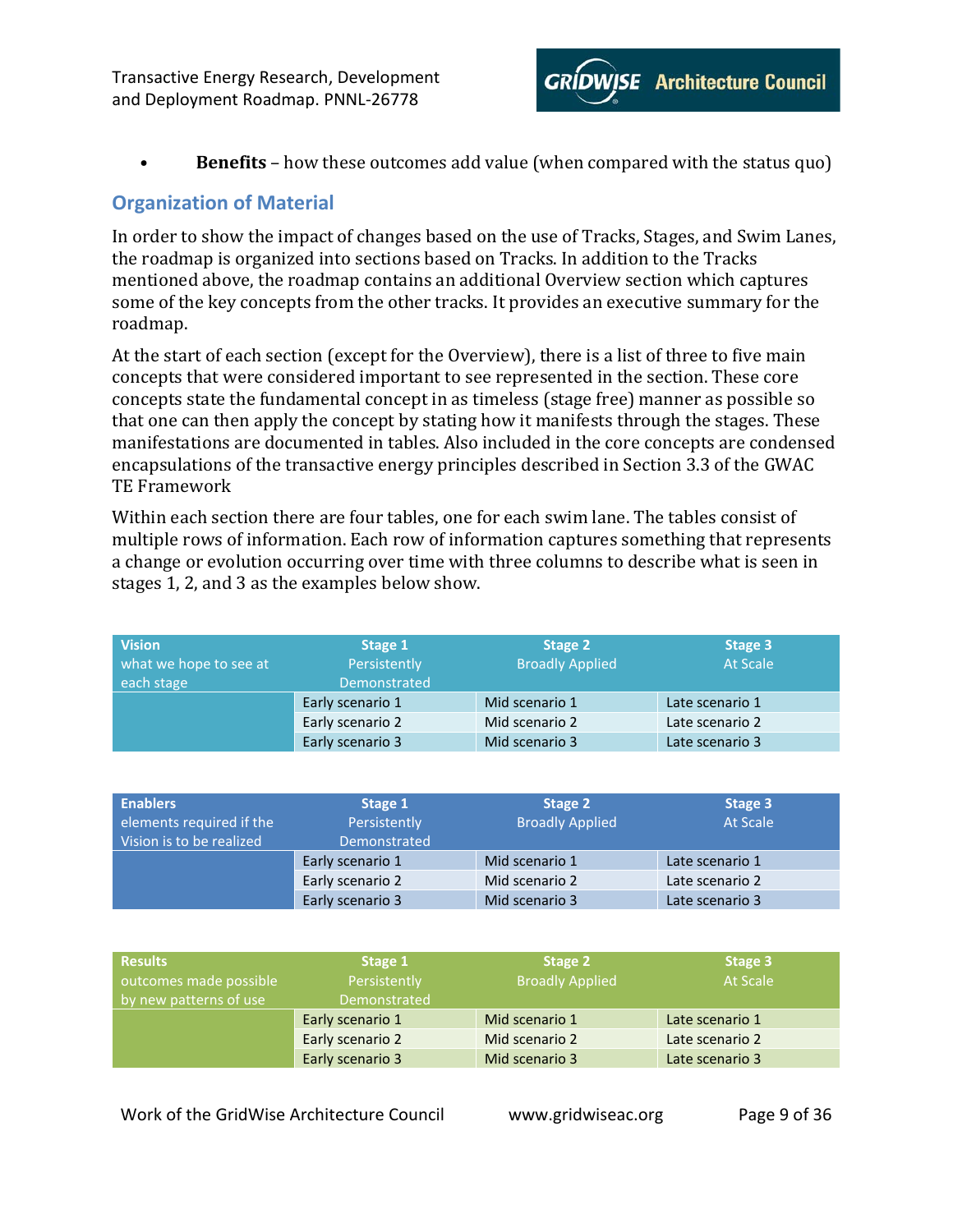• **Benefits** – how these outcomes add value (when compared with the status quo)

# <span id="page-8-0"></span>**Organization of Material**

In order to show the impact of changes based on the use of Tracks, Stages, and Swim Lanes, the roadmap is organized into sections based on Tracks. In addition to the Tracks mentioned above, the roadmap contains an additional Overview section which captures some of the key concepts from the other tracks. It provides an executive summary for the roadmap.

At the start of each section (except for the Overview), there is a list of three to five main concepts that were considered important to see represented in the section. These core concepts state the fundamental concept in as timeless (stage free) manner as possible so that one can then apply the concept by stating how it manifests through the stages. These manifestations are documented in tables. Also included in the core concepts are condensed encapsulations of the transactive energy principles described in Section 3.3 of the GWAC TE Framework

Within each section there are four tables, one for each swim lane. The tables consist of multiple rows of information. Each row of information captures something that represents a change or evolution occurring over time with three columns to describe what is seen in stages 1, 2, and 3 as the examples below show.

| <b>Vision</b><br>what we hope to see at | Stage 1<br>Persistently | Stage 2<br><b>Broadly Applied</b> | Stage 3<br><b>At Scale</b> |
|-----------------------------------------|-------------------------|-----------------------------------|----------------------------|
| each stage                              | Demonstrated            |                                   |                            |
|                                         | Early scenario 1        | Mid scenario 1                    | Late scenario 1            |
|                                         | Early scenario 2        | Mid scenario 2                    | Late scenario 2            |
|                                         | Early scenario 3        | Mid scenario 3                    | Late scenario 3            |

| <b>Enablers</b><br>elements required if the<br>Vision is to be realized | Stage 1<br>Persistently<br>Demonstrated | Stage 2<br><b>Broadly Applied</b> | Stage 3<br>At Scale |
|-------------------------------------------------------------------------|-----------------------------------------|-----------------------------------|---------------------|
|                                                                         | Early scenario 1                        | Mid scenario 1                    | Late scenario 1     |
|                                                                         | Early scenario 2                        | Mid scenario 2                    | Late scenario 2     |
|                                                                         | Early scenario 3                        | Mid scenario 3                    | Late scenario 3     |

| <b>Results</b>         | Stage 1          | Stage 2                | Stage 3         |
|------------------------|------------------|------------------------|-----------------|
| outcomes made possible | Persistently     | <b>Broadly Applied</b> | <b>At Scale</b> |
| by new patterns of use | Demonstrated     |                        |                 |
|                        | Early scenario 1 | Mid scenario 1         | Late scenario 1 |
|                        | Early scenario 2 | Mid scenario 2         | Late scenario 2 |
|                        | Early scenario 3 | Mid scenario 3         | Late scenario 3 |

Work of the GridWise Architecture Council www.gridwiseac.org Page 9 of 36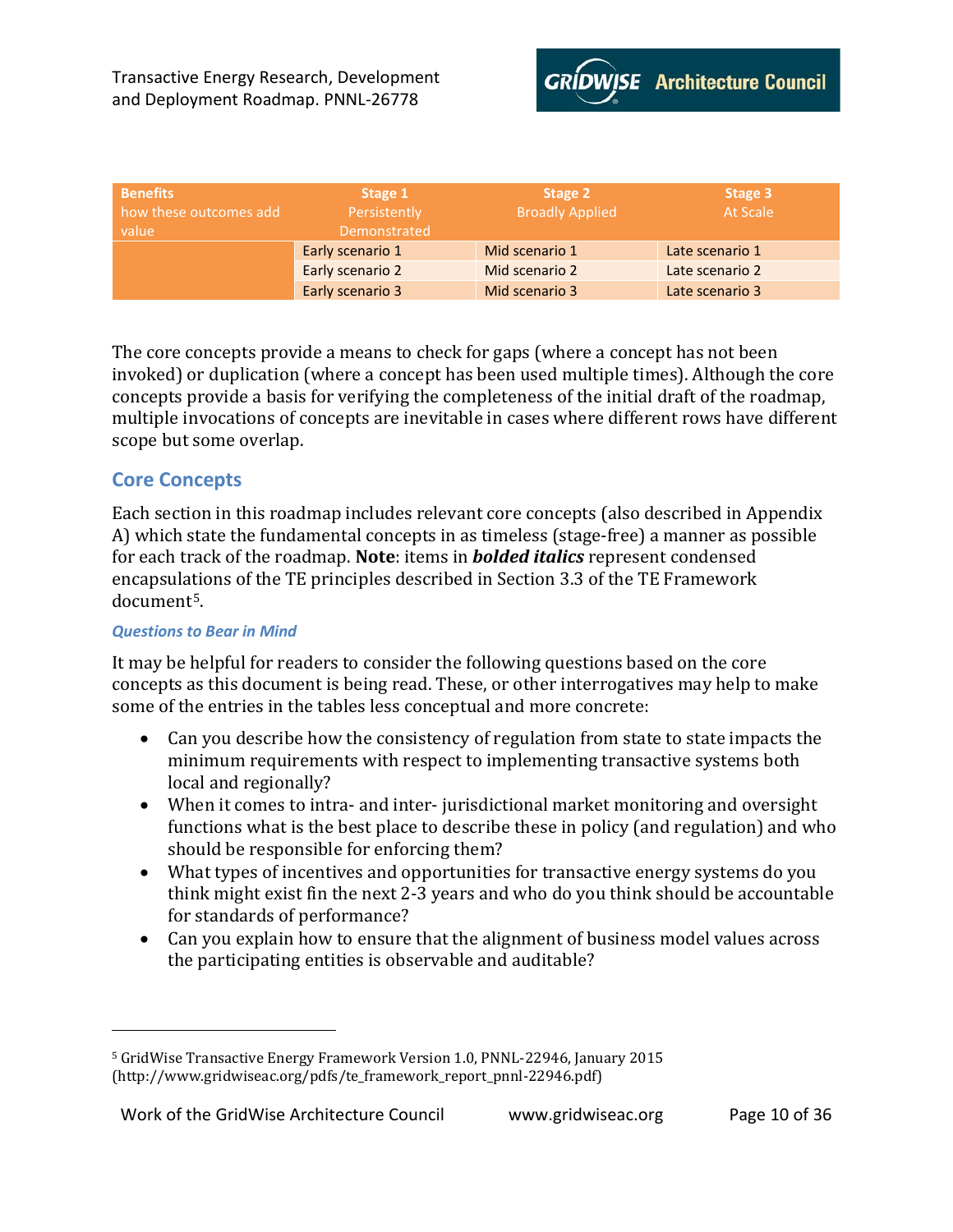| <b>Benefits</b><br>how these outcomes add<br>value | Stage 1<br>Persistently<br>Demonstrated | Stage 2<br><b>Broadly Applied</b> | Stage 3<br>At Scale |
|----------------------------------------------------|-----------------------------------------|-----------------------------------|---------------------|
|                                                    | Early scenario 1                        | Mid scenario 1                    | Late scenario 1     |
|                                                    | Early scenario 2                        | Mid scenario 2                    | Late scenario 2     |
|                                                    | Early scenario 3                        | Mid scenario 3                    | Late scenario 3     |

The core concepts provide a means to check for gaps (where a concept has not been invoked) or duplication (where a concept has been used multiple times). Although the core concepts provide a basis for verifying the completeness of the initial draft of the roadmap, multiple invocations of concepts are inevitable in cases where different rows have different scope but some overlap.

### <span id="page-9-0"></span>**Core Concepts**

Each section in this roadmap includes relevant core concepts (also described in Appendix A) which state the fundamental concepts in as timeless (stage-free) a manner as possible for each track of the roadmap. **Note**: items in *bolded italics* represent condensed encapsulations of the TE principles described in Section 3.3 of the TE Framework document[5.](#page-9-2)

#### <span id="page-9-1"></span>*Questions to Bear in Mind*

I

It may be helpful for readers to consider the following questions based on the core concepts as this document is being read. These, or other interrogatives may help to make some of the entries in the tables less conceptual and more concrete:

- Can you describe how the consistency of regulation from state to state impacts the minimum requirements with respect to implementing transactive systems both local and regionally?
- When it comes to intra- and inter- jurisdictional market monitoring and oversight functions what is the best place to describe these in policy (and regulation) and who should be responsible for enforcing them?
- What types of incentives and opportunities for transactive energy systems do you think might exist fin the next 2-3 years and who do you think should be accountable for standards of performance?
- Can you explain how to ensure that the alignment of business model values across the participating entities is observable and auditable?

<span id="page-9-2"></span><sup>5</sup> GridWise Transactive Energy Framework Version 1.0, PNNL-22946, January 2015 (http://www.gridwiseac.org/pdfs/te\_framework\_report\_pnnl-22946.pdf)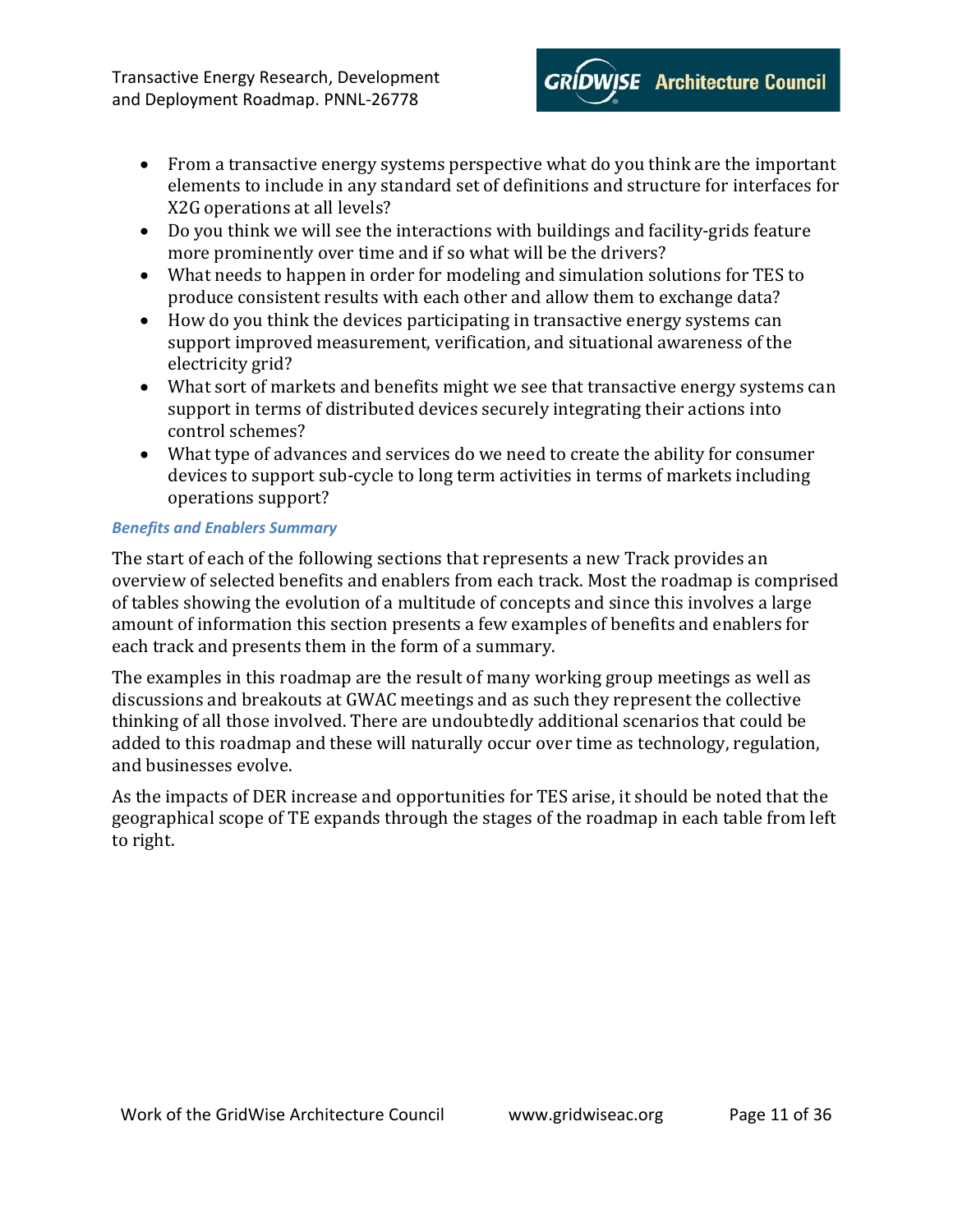- From a transactive energy systems perspective what do you think are the important elements to include in any standard set of definitions and structure for interfaces for X2G operations at all levels?
- Do you think we will see the interactions with buildings and facility-grids feature more prominently over time and if so what will be the drivers?
- What needs to happen in order for modeling and simulation solutions for TES to produce consistent results with each other and allow them to exchange data?
- How do you think the devices participating in transactive energy systems can support improved measurement, verification, and situational awareness of the electricity grid?
- What sort of markets and benefits might we see that transactive energy systems can support in terms of distributed devices securely integrating their actions into control schemes?
- What type of advances and services do we need to create the ability for consumer devices to support sub-cycle to long term activities in terms of markets including operations support?

#### <span id="page-10-0"></span>*Benefits and Enablers Summary*

The start of each of the following sections that represents a new Track provides an overview of selected benefits and enablers from each track. Most the roadmap is comprised of tables showing the evolution of a multitude of concepts and since this involves a large amount of information this section presents a few examples of benefits and enablers for each track and presents them in the form of a summary.

The examples in this roadmap are the result of many working group meetings as well as discussions and breakouts at GWAC meetings and as such they represent the collective thinking of all those involved. There are undoubtedly additional scenarios that could be added to this roadmap and these will naturally occur over time as technology, regulation, and businesses evolve.

As the impacts of DER increase and opportunities for TES arise, it should be noted that the geographical scope of TE expands through the stages of the roadmap in each table from left to right.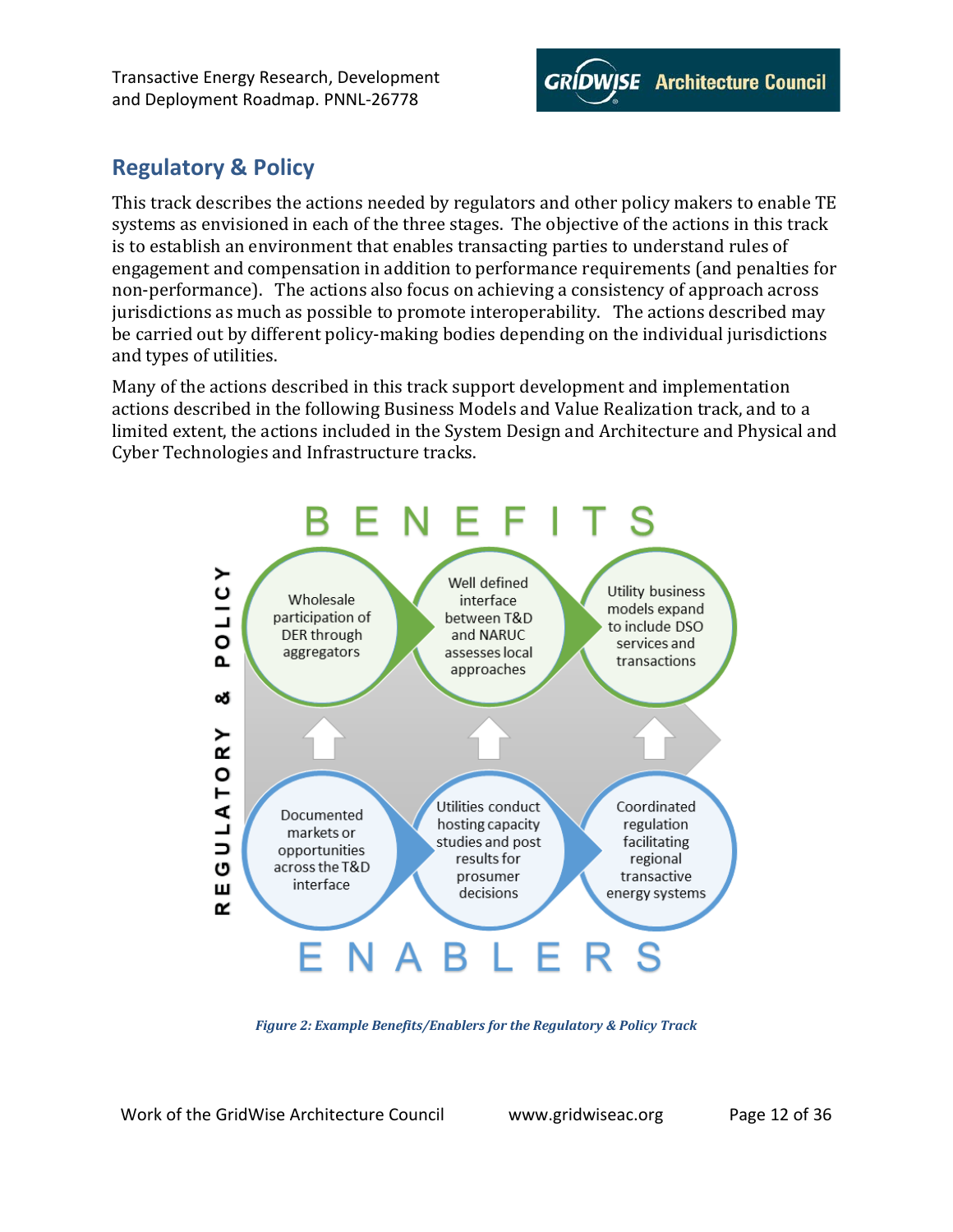

# <span id="page-11-0"></span>**Regulatory & Policy**

This track describes the actions needed by regulators and other policy makers to enable TE systems as envisioned in each of the three stages. The objective of the actions in this track is to establish an environment that enables transacting parties to understand rules of engagement and compensation in addition to performance requirements (and penalties for non-performance). The actions also focus on achieving a consistency of approach across jurisdictions as much as possible to promote interoperability. The actions described may be carried out by different policy-making bodies depending on the individual jurisdictions and types of utilities.

Many of the actions described in this track support development and implementation actions described in the following Business Models and Value Realization track, and to a limited extent, the actions included in the System Design and Architecture and Physical and Cyber Technologies and Infrastructure tracks.



*Figure 2: Example Benefits/Enablers for the Regulatory & Policy Track*

<span id="page-11-1"></span>Work of the GridWise Architecture Council www.gridwiseac.org Page 12 of 36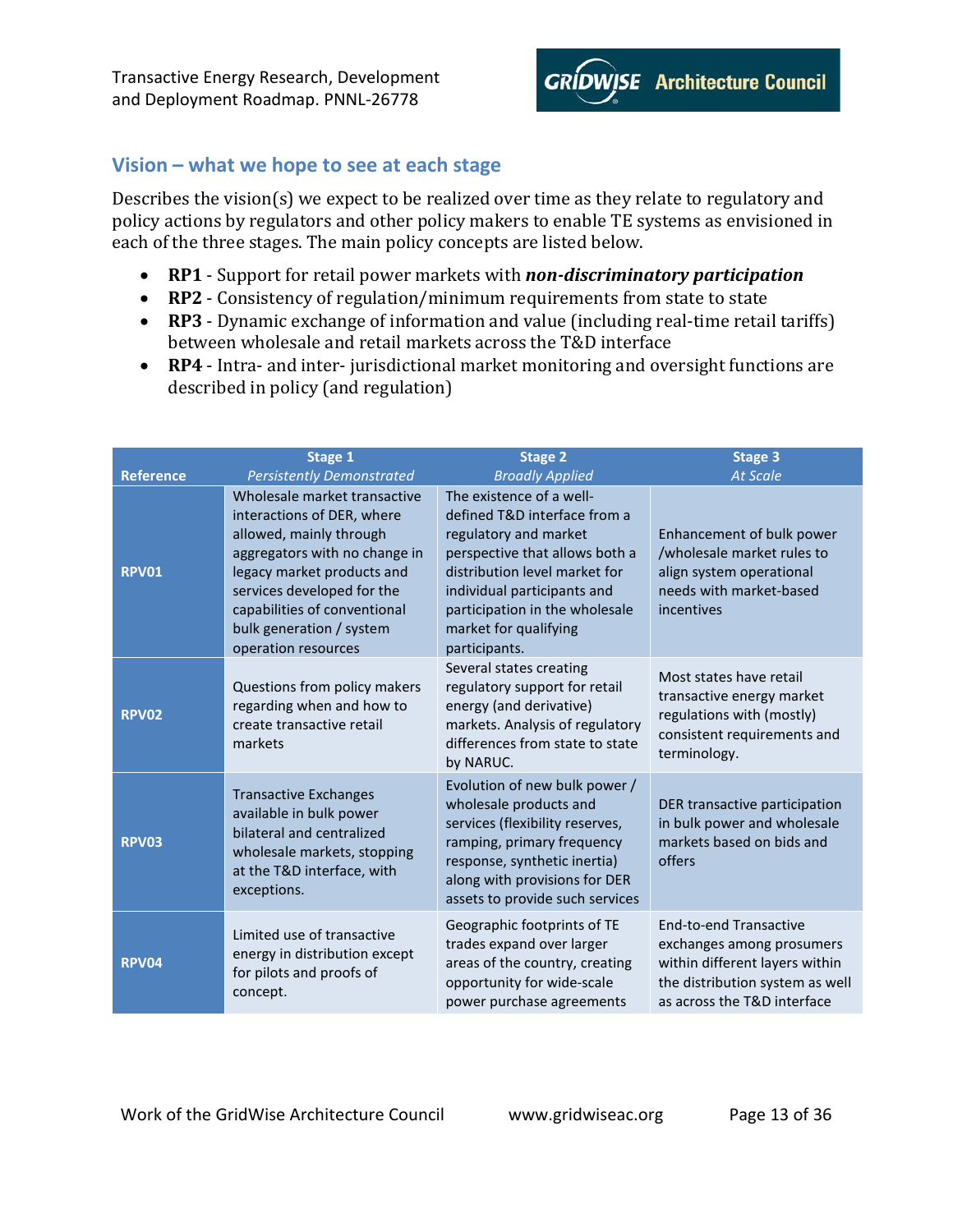

### <span id="page-12-0"></span>**Vision – what we hope to see at each stage**

Describes the vision(s) we expect to be realized over time as they relate to regulatory and policy actions by regulators and other policy makers to enable TE systems as envisioned in each of the three stages. The main policy concepts are listed below.

- **RP1** Support for retail power markets with *non-discriminatory participation*
- **RP2** Consistency of regulation/minimum requirements from state to state
- **RP3** Dynamic exchange of information and value (including real-time retail tariffs) between wholesale and retail markets across the T&D interface
- **RP4** Intra- and inter- jurisdictional market monitoring and oversight functions are described in policy (and regulation)

|                  | Stage 1                                                                                                                                                                                                                                                               | <b>Stage 2</b>                                                                                                                                                                                                                                                  | <b>Stage 3</b>                                                                                                                                                 |
|------------------|-----------------------------------------------------------------------------------------------------------------------------------------------------------------------------------------------------------------------------------------------------------------------|-----------------------------------------------------------------------------------------------------------------------------------------------------------------------------------------------------------------------------------------------------------------|----------------------------------------------------------------------------------------------------------------------------------------------------------------|
| <b>Reference</b> | <b>Persistently Demonstrated</b>                                                                                                                                                                                                                                      | <b>Broadly Applied</b>                                                                                                                                                                                                                                          | <b>At Scale</b>                                                                                                                                                |
| <b>RPV01</b>     | Wholesale market transactive<br>interactions of DER, where<br>allowed, mainly through<br>aggregators with no change in<br>legacy market products and<br>services developed for the<br>capabilities of conventional<br>bulk generation / system<br>operation resources | The existence of a well-<br>defined T&D interface from a<br>regulatory and market<br>perspective that allows both a<br>distribution level market for<br>individual participants and<br>participation in the wholesale<br>market for qualifying<br>participants. | Enhancement of bulk power<br>/wholesale market rules to<br>align system operational<br>needs with market-based<br>incentives                                   |
| <b>RPV02</b>     | Questions from policy makers<br>regarding when and how to<br>create transactive retail<br>markets                                                                                                                                                                     | Several states creating<br>regulatory support for retail<br>energy (and derivative)<br>markets. Analysis of regulatory<br>differences from state to state<br>by NARUC.                                                                                          | Most states have retail<br>transactive energy market<br>regulations with (mostly)<br>consistent requirements and<br>terminology.                               |
| <b>RPV03</b>     | <b>Transactive Exchanges</b><br>available in bulk power<br>bilateral and centralized<br>wholesale markets, stopping<br>at the T&D interface, with<br>exceptions.                                                                                                      | Evolution of new bulk power /<br>wholesale products and<br>services (flexibility reserves,<br>ramping, primary frequency<br>response, synthetic inertia)<br>along with provisions for DER<br>assets to provide such services                                    | DER transactive participation<br>in bulk power and wholesale<br>markets based on bids and<br>offers                                                            |
| RPV04            | Limited use of transactive<br>energy in distribution except<br>for pilots and proofs of<br>concept.                                                                                                                                                                   | Geographic footprints of TE<br>trades expand over larger<br>areas of the country, creating<br>opportunity for wide-scale<br>power purchase agreements                                                                                                           | <b>End-to-end Transactive</b><br>exchanges among prosumers<br>within different layers within<br>the distribution system as well<br>as across the T&D interface |

Work of the GridWise Architecture Council www.gridwiseac.org Page 13 of 36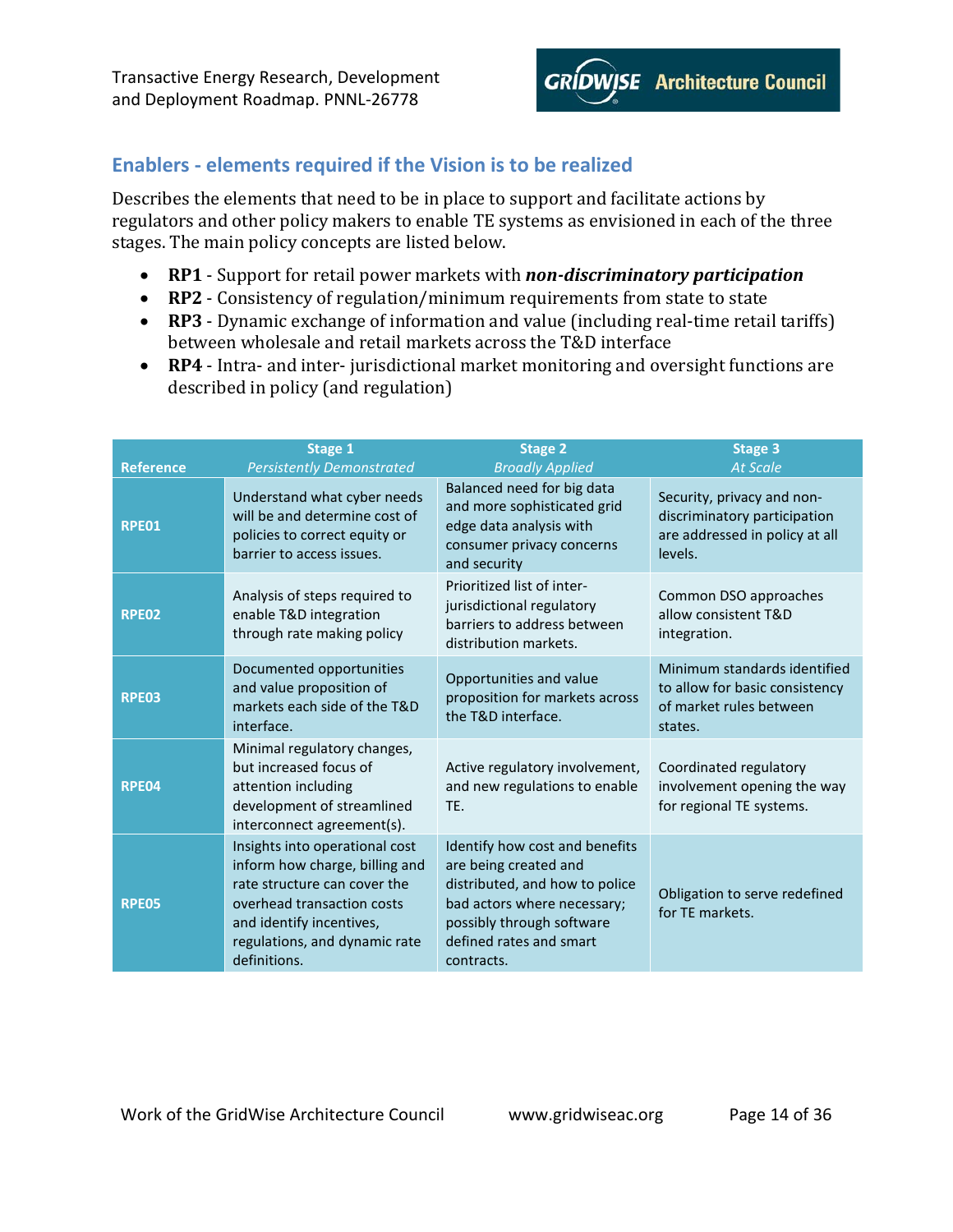

# <span id="page-13-0"></span>**Enablers - elements required if the Vision is to be realized**

Describes the elements that need to be in place to support and facilitate actions by regulators and other policy makers to enable TE systems as envisioned in each of the three stages. The main policy concepts are listed below.

- **RP1** Support for retail power markets with *non-discriminatory participation*
- **RP2** Consistency of regulation/minimum requirements from state to state
- **RP3** Dynamic exchange of information and value (including real-time retail tariffs) between wholesale and retail markets across the T&D interface
- **RP4** Intra- and inter- jurisdictional market monitoring and oversight functions are described in policy (and regulation)

| <b>Reference</b> | Stage 1<br><b>Persistently Demonstrated</b>                                                                                                                                                                 | <b>Stage 2</b><br><b>Broadly Applied</b>                                                                                                                                                       | <b>Stage 3</b><br><b>At Scale</b>                                                                       |
|------------------|-------------------------------------------------------------------------------------------------------------------------------------------------------------------------------------------------------------|------------------------------------------------------------------------------------------------------------------------------------------------------------------------------------------------|---------------------------------------------------------------------------------------------------------|
| RPE01            | Understand what cyber needs<br>will be and determine cost of<br>policies to correct equity or<br>barrier to access issues.                                                                                  | Balanced need for big data<br>and more sophisticated grid<br>edge data analysis with<br>consumer privacy concerns<br>and security                                                              | Security, privacy and non-<br>discriminatory participation<br>are addressed in policy at all<br>levels. |
| <b>RPE02</b>     | Analysis of steps required to<br>enable T&D integration<br>through rate making policy                                                                                                                       | Prioritized list of inter-<br>jurisdictional regulatory<br>barriers to address between<br>distribution markets.                                                                                | Common DSO approaches<br>allow consistent T&D<br>integration.                                           |
| <b>RPE03</b>     | Documented opportunities<br>and value proposition of<br>markets each side of the T&D<br>interface.                                                                                                          | Opportunities and value<br>proposition for markets across<br>the T&D interface.                                                                                                                | Minimum standards identified<br>to allow for basic consistency<br>of market rules between<br>states.    |
| RPE04            | Minimal regulatory changes,<br>but increased focus of<br>attention including<br>development of streamlined<br>interconnect agreement(s).                                                                    | Active regulatory involvement,<br>and new regulations to enable<br>TE.                                                                                                                         | Coordinated regulatory<br>involvement opening the way<br>for regional TE systems.                       |
| <b>RPE05</b>     | Insights into operational cost<br>inform how charge, billing and<br>rate structure can cover the<br>overhead transaction costs<br>and identify incentives,<br>regulations, and dynamic rate<br>definitions. | Identify how cost and benefits<br>are being created and<br>distributed, and how to police<br>bad actors where necessary;<br>possibly through software<br>defined rates and smart<br>contracts. | Obligation to serve redefined<br>for TE markets.                                                        |

Work of the GridWise Architecture Council www.gridwiseac.org Page 14 of 36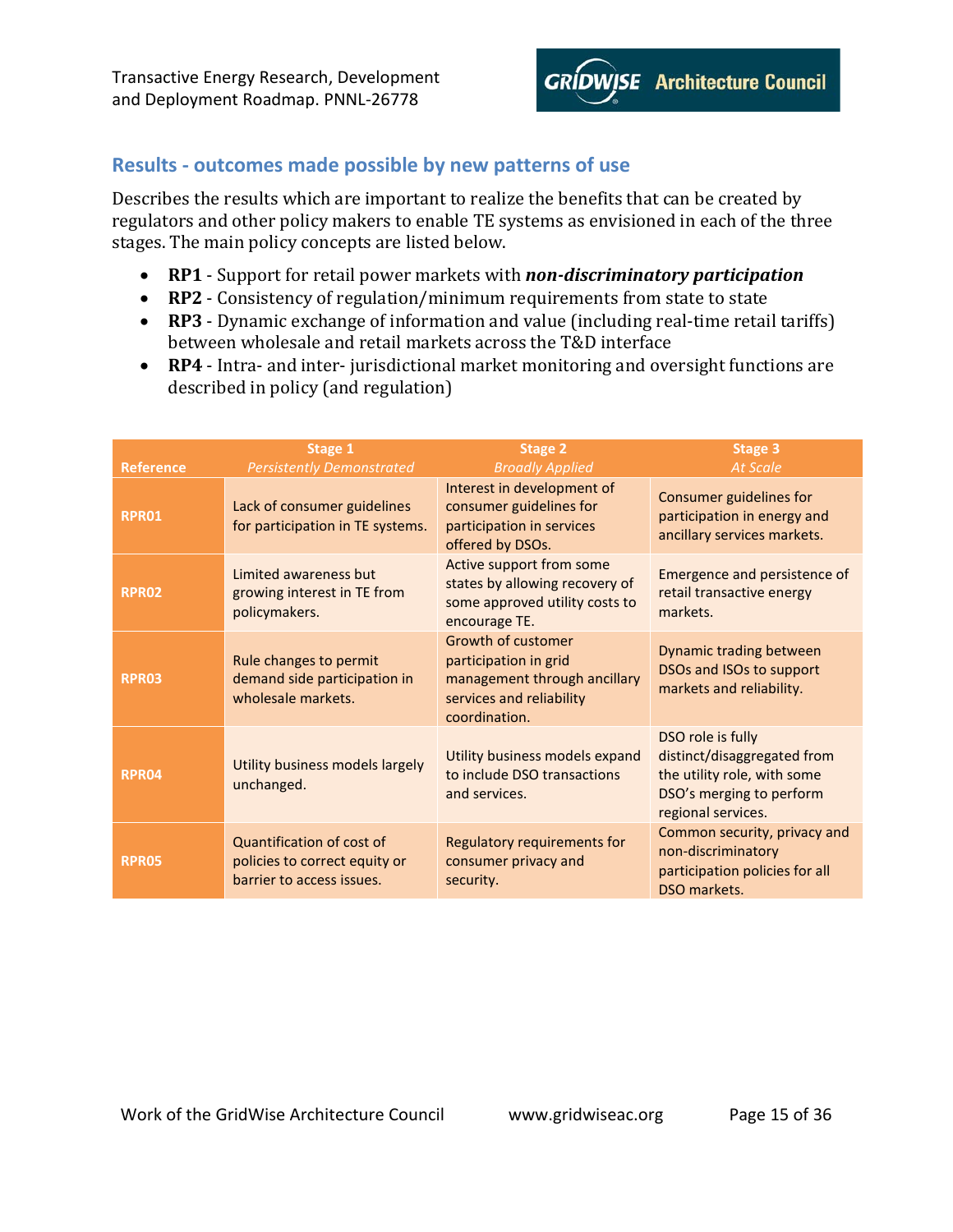

### <span id="page-14-0"></span>**Results - outcomes made possible by new patterns of use**

Describes the results which are important to realize the benefits that can be created by regulators and other policy makers to enable TE systems as envisioned in each of the three stages. The main policy concepts are listed below.

- **RP1** Support for retail power markets with *non-discriminatory participation*
- **RP2** Consistency of regulation/minimum requirements from state to state
- **RP3** Dynamic exchange of information and value (including real-time retail tariffs) between wholesale and retail markets across the T&D interface
- **RP4** Intra- and inter- jurisdictional market monitoring and oversight functions are described in policy (and regulation)

|                                  | Stage 1                                                                                             | <b>Stage 2</b>                                                                                                                   | <b>Stage 3</b><br><b>At Scale</b>                                                                                                 |
|----------------------------------|-----------------------------------------------------------------------------------------------------|----------------------------------------------------------------------------------------------------------------------------------|-----------------------------------------------------------------------------------------------------------------------------------|
| <b>Reference</b><br><b>RPR01</b> | <b>Persistently Demonstrated</b><br>Lack of consumer guidelines<br>for participation in TE systems. | <b>Broadly Applied</b><br>Interest in development of<br>consumer guidelines for<br>participation in services<br>offered by DSOs. | Consumer guidelines for<br>participation in energy and<br>ancillary services markets.                                             |
| <b>RPR02</b>                     | Limited awareness but<br>growing interest in TE from<br>policymakers.                               | Active support from some<br>states by allowing recovery of<br>some approved utility costs to<br>encourage TE.                    | Emergence and persistence of<br>retail transactive energy<br>markets.                                                             |
| <b>RPR03</b>                     | Rule changes to permit<br>demand side participation in<br>wholesale markets.                        | Growth of customer<br>participation in grid<br>management through ancillary<br>services and reliability<br>coordination.         | Dynamic trading between<br>DSOs and ISOs to support<br>markets and reliability.                                                   |
| <b>RPR04</b>                     | Utility business models largely<br>unchanged.                                                       | Utility business models expand<br>to include DSO transactions<br>and services.                                                   | DSO role is fully<br>distinct/disaggregated from<br>the utility role, with some<br>DSO's merging to perform<br>regional services. |
| <b>RPR05</b>                     | <b>Quantification of cost of</b><br>policies to correct equity or<br>barrier to access issues.      | Regulatory requirements for<br>consumer privacy and<br>security.                                                                 | Common security, privacy and<br>non-discriminatory<br>participation policies for all<br>DSO markets.                              |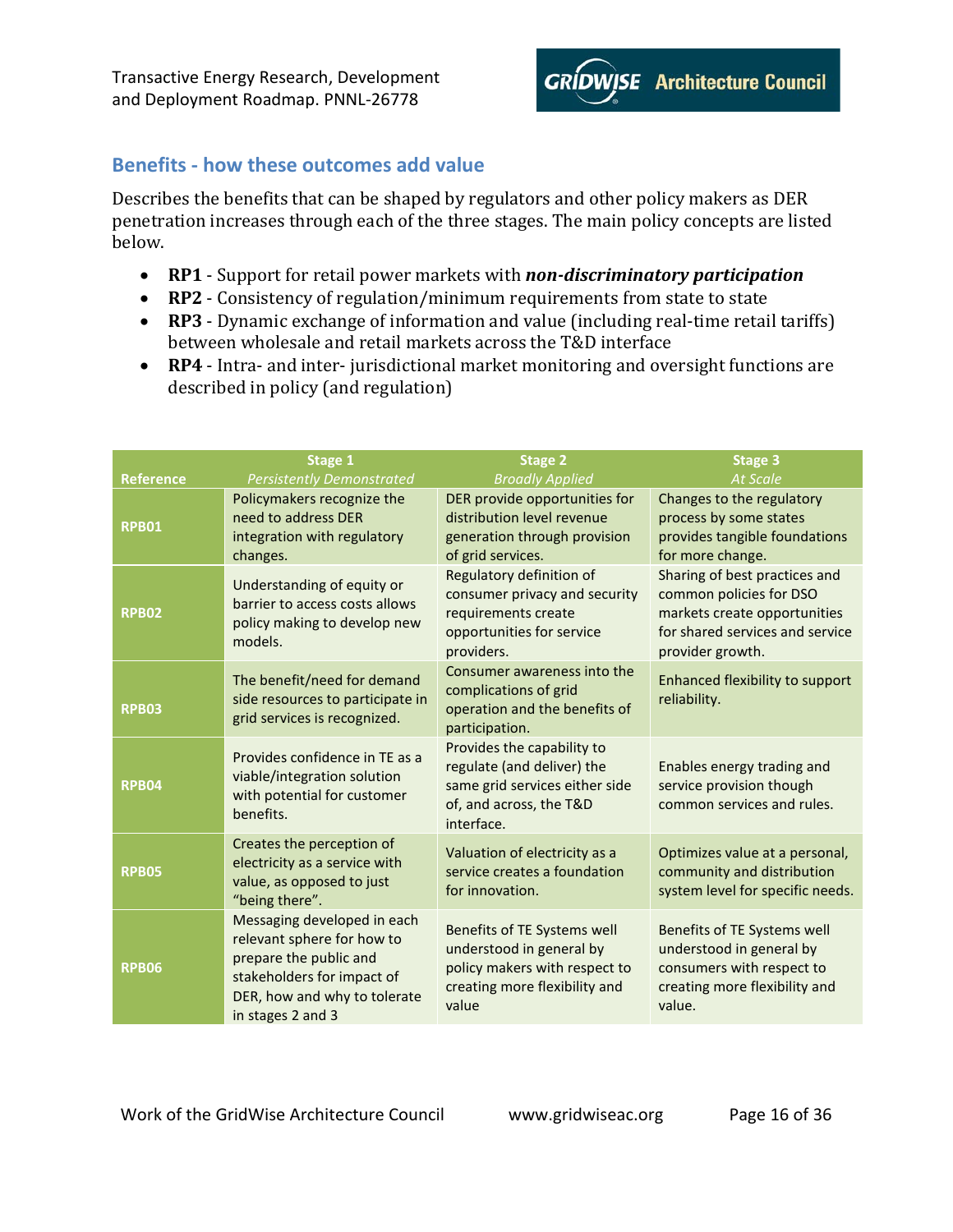

# <span id="page-15-0"></span>**Benefits - how these outcomes add value**

Describes the benefits that can be shaped by regulators and other policy makers as DER penetration increases through each of the three stages. The main policy concepts are listed below.

- **RP1** Support for retail power markets with *non-discriminatory participation*
- **RP2** Consistency of regulation/minimum requirements from state to state
- **RP3** Dynamic exchange of information and value (including real-time retail tariffs) between wholesale and retail markets across the T&D interface
- **RP4** Intra- and inter- jurisdictional market monitoring and oversight functions are described in policy (and regulation)

|                  | Stage 1                                                                                                                                                                | <b>Stage 2</b>                                                                                                                      | <b>Stage 3</b>                                                                                                                                  |
|------------------|------------------------------------------------------------------------------------------------------------------------------------------------------------------------|-------------------------------------------------------------------------------------------------------------------------------------|-------------------------------------------------------------------------------------------------------------------------------------------------|
| <b>Reference</b> | <b>Persistently Demonstrated</b>                                                                                                                                       | <b>Broadly Applied</b>                                                                                                              | <b>At Scale</b>                                                                                                                                 |
| <b>RPB01</b>     | Policymakers recognize the<br>need to address DER<br>integration with regulatory<br>changes.                                                                           | DER provide opportunities for<br>distribution level revenue<br>generation through provision<br>of grid services.                    | Changes to the regulatory<br>process by some states<br>provides tangible foundations<br>for more change.                                        |
| <b>RPB02</b>     | Understanding of equity or<br>barrier to access costs allows<br>policy making to develop new<br>models.                                                                | <b>Regulatory definition of</b><br>consumer privacy and security<br>requirements create<br>opportunities for service<br>providers.  | Sharing of best practices and<br>common policies for DSO<br>markets create opportunities<br>for shared services and service<br>provider growth. |
| <b>RPB03</b>     | The benefit/need for demand<br>side resources to participate in<br>grid services is recognized.                                                                        | Consumer awareness into the<br>complications of grid<br>operation and the benefits of<br>participation.                             | Enhanced flexibility to support<br>reliability.                                                                                                 |
| <b>RPB04</b>     | Provides confidence in TE as a<br>viable/integration solution<br>with potential for customer<br>benefits.                                                              | Provides the capability to<br>regulate (and deliver) the<br>same grid services either side<br>of, and across, the T&D<br>interface. | Enables energy trading and<br>service provision though<br>common services and rules.                                                            |
| <b>RPB05</b>     | Creates the perception of<br>electricity as a service with<br>value, as opposed to just<br>"being there".                                                              | Valuation of electricity as a<br>service creates a foundation<br>for innovation.                                                    | Optimizes value at a personal,<br>community and distribution<br>system level for specific needs.                                                |
| <b>RPB06</b>     | Messaging developed in each<br>relevant sphere for how to<br>prepare the public and<br>stakeholders for impact of<br>DER, how and why to tolerate<br>in stages 2 and 3 | Benefits of TE Systems well<br>understood in general by<br>policy makers with respect to<br>creating more flexibility and<br>value  | Benefits of TE Systems well<br>understood in general by<br>consumers with respect to<br>creating more flexibility and<br>value.                 |

Work of the GridWise Architecture Council www.gridwiseac.org Page 16 of 36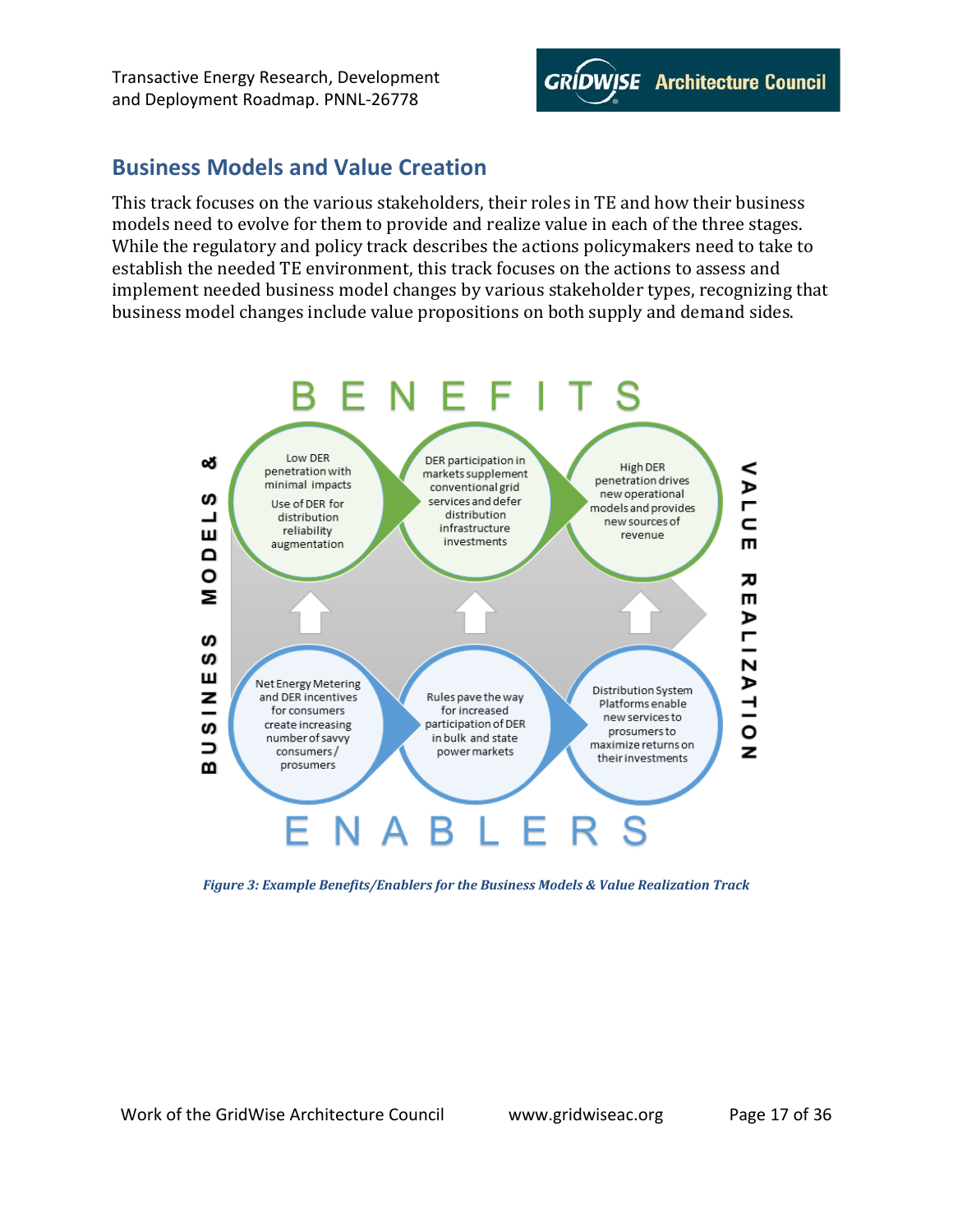

# <span id="page-16-0"></span>**Business Models and Value Creation**

This track focuses on the various stakeholders, their roles in TE and how their business models need to evolve for them to provide and realize value in each of the three stages. While the regulatory and policy track describes the actions policymakers need to take to establish the needed TE environment, this track focuses on the actions to assess and implement needed business model changes by various stakeholder types, recognizing that business model changes include value propositions on both supply and demand sides.



<span id="page-16-1"></span>*Figure 3: Example Benefits/Enablers for the Business Models & Value Realization Track*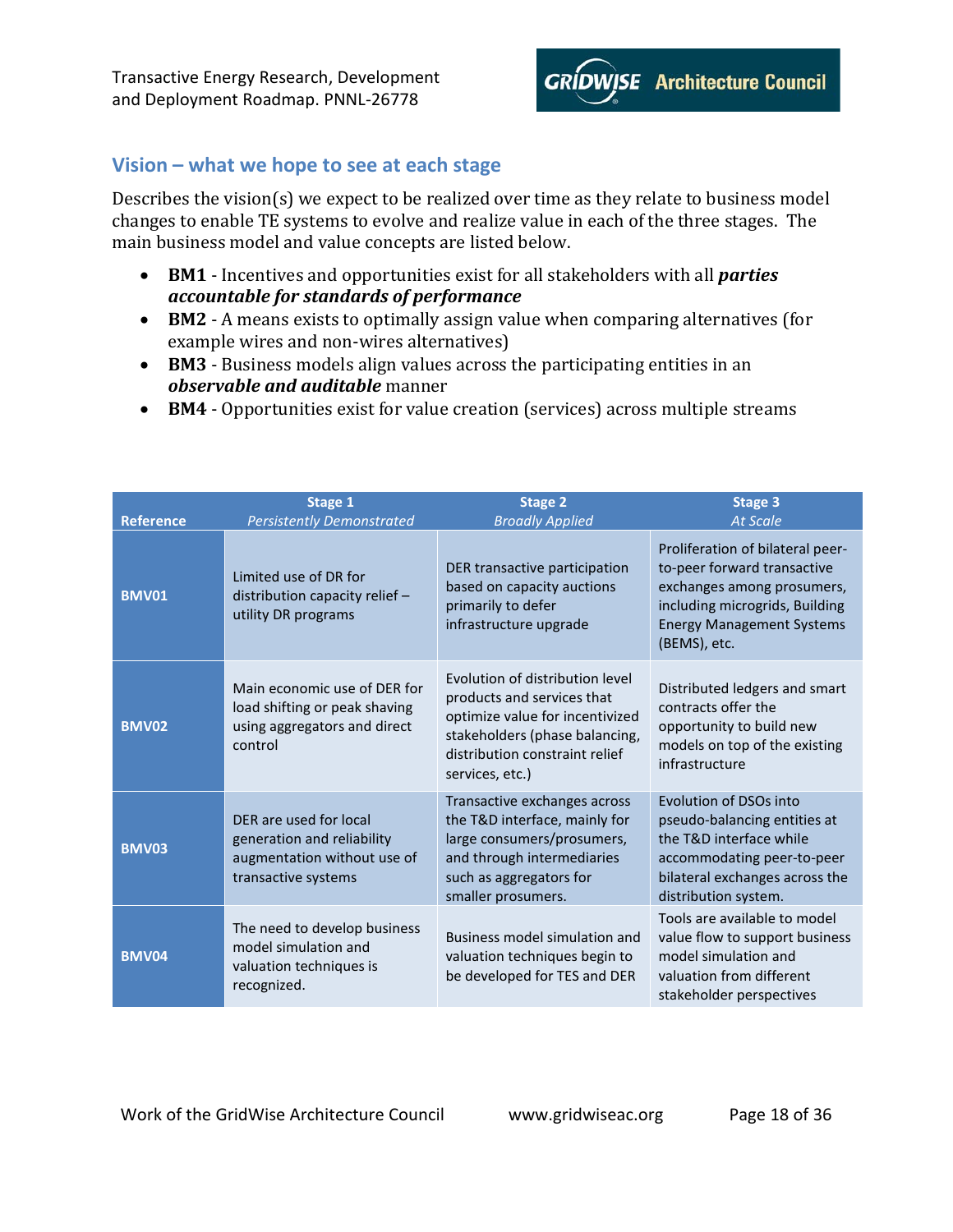

### <span id="page-17-0"></span>**Vision – what we hope to see at each stage**

Describes the vision(s) we expect to be realized over time as they relate to business model changes to enable TE systems to evolve and realize value in each of the three stages. The main business model and value concepts are listed below.

- **BM1** Incentives and opportunities exist for all stakeholders with all *parties accountable for standards of performance*
- **BM2** A means exists to optimally assign value when comparing alternatives (for example wires and non-wires alternatives)
- **BM3** Business models align values across the participating entities in an *observable and auditable* manner
- **BM4** Opportunities exist for value creation (services) across multiple streams

| <b>Reference</b> | Stage 1<br><b>Persistently Demonstrated</b>                                                                | <b>Stage 2</b><br><b>Broadly Applied</b>                                                                                                                                                | <b>Stage 3</b><br><b>At Scale</b>                                                                                                                                                   |
|------------------|------------------------------------------------------------------------------------------------------------|-----------------------------------------------------------------------------------------------------------------------------------------------------------------------------------------|-------------------------------------------------------------------------------------------------------------------------------------------------------------------------------------|
| <b>BMV01</b>     | Limited use of DR for<br>distribution capacity relief $-$<br>utility DR programs                           | DER transactive participation<br>based on capacity auctions<br>primarily to defer<br>infrastructure upgrade                                                                             | Proliferation of bilateral peer-<br>to-peer forward transactive<br>exchanges among prosumers,<br>including microgrids, Building<br><b>Energy Management Systems</b><br>(BEMS), etc. |
| <b>BMV02</b>     | Main economic use of DER for<br>load shifting or peak shaving<br>using aggregators and direct<br>control   | Evolution of distribution level<br>products and services that<br>optimize value for incentivized<br>stakeholders (phase balancing,<br>distribution constraint relief<br>services, etc.) | Distributed ledgers and smart<br>contracts offer the<br>opportunity to build new<br>models on top of the existing<br>infrastructure                                                 |
| <b>BMV03</b>     | DER are used for local<br>generation and reliability<br>augmentation without use of<br>transactive systems | Transactive exchanges across<br>the T&D interface, mainly for<br>large consumers/prosumers,<br>and through intermediaries<br>such as aggregators for<br>smaller prosumers.              | Evolution of DSOs into<br>pseudo-balancing entities at<br>the T&D interface while<br>accommodating peer-to-peer<br>bilateral exchanges across the<br>distribution system.           |
| <b>BMV04</b>     | The need to develop business<br>model simulation and<br>valuation techniques is<br>recognized.             | Business model simulation and<br>valuation techniques begin to<br>be developed for TES and DER                                                                                          | Tools are available to model<br>value flow to support business<br>model simulation and<br>valuation from different<br>stakeholder perspectives                                      |

Work of the GridWise Architecture Council www.gridwiseac.org Page 18 of 36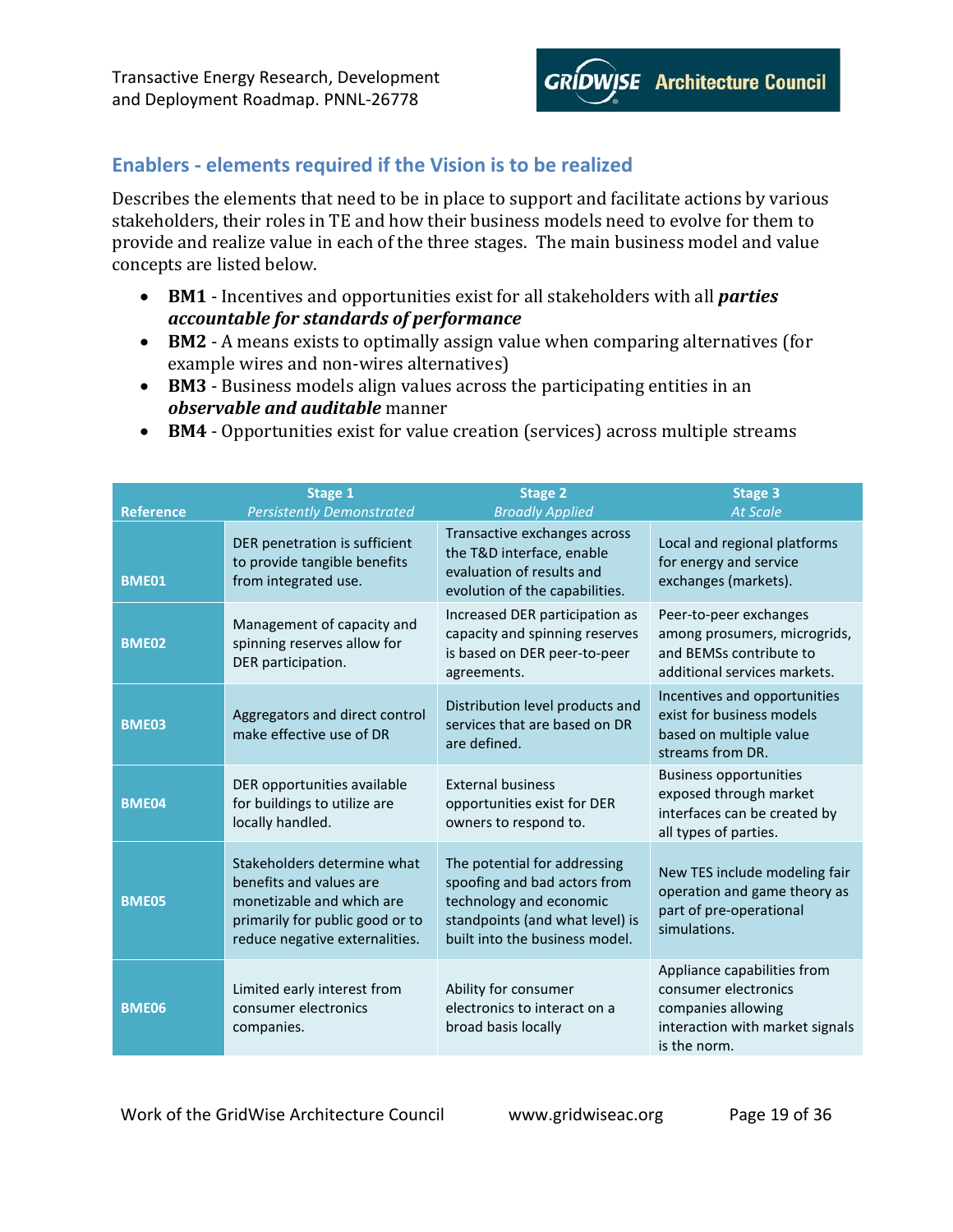

# <span id="page-18-0"></span>**Enablers - elements required if the Vision is to be realized**

Describes the elements that need to be in place to support and facilitate actions by various stakeholders, their roles in TE and how their business models need to evolve for them to provide and realize value in each of the three stages. The main business model and value concepts are listed below.

- **BM1** Incentives and opportunities exist for all stakeholders with all *parties accountable for standards of performance*
- **BM2** A means exists to optimally assign value when comparing alternatives (for example wires and non-wires alternatives)
- **BM3** Business models align values across the participating entities in an *observable and auditable* manner
- **BM4** Opportunities exist for value creation (services) across multiple streams

| <b>Reference</b> | <b>Stage 1</b><br><b>Persistently Demonstrated</b>                                                                                                       | <b>Stage 2</b><br><b>Broadly Applied</b>                                                                                                                     | <b>Stage 3</b><br><b>At Scale</b>                                                                                            |
|------------------|----------------------------------------------------------------------------------------------------------------------------------------------------------|--------------------------------------------------------------------------------------------------------------------------------------------------------------|------------------------------------------------------------------------------------------------------------------------------|
| <b>BME01</b>     | DER penetration is sufficient<br>to provide tangible benefits<br>from integrated use.                                                                    | Transactive exchanges across<br>the T&D interface, enable<br>evaluation of results and<br>evolution of the capabilities.                                     | Local and regional platforms<br>for energy and service<br>exchanges (markets).                                               |
| <b>BME02</b>     | Management of capacity and<br>spinning reserves allow for<br>DER participation.                                                                          | Increased DER participation as<br>capacity and spinning reserves<br>is based on DER peer-to-peer<br>agreements.                                              | Peer-to-peer exchanges<br>among prosumers, microgrids,<br>and BEMSs contribute to<br>additional services markets.            |
| <b>BME03</b>     | Aggregators and direct control<br>make effective use of DR                                                                                               | Distribution level products and<br>services that are based on DR<br>are defined.                                                                             | Incentives and opportunities<br>exist for business models<br>based on multiple value<br>streams from DR.                     |
| <b>BME04</b>     | DER opportunities available<br>for buildings to utilize are<br>locally handled.                                                                          | <b>External business</b><br>opportunities exist for DER<br>owners to respond to.                                                                             | <b>Business opportunities</b><br>exposed through market<br>interfaces can be created by<br>all types of parties.             |
| <b>BME05</b>     | Stakeholders determine what<br>benefits and values are<br>monetizable and which are<br>primarily for public good or to<br>reduce negative externalities. | The potential for addressing<br>spoofing and bad actors from<br>technology and economic<br>standpoints (and what level) is<br>built into the business model. | New TES include modeling fair<br>operation and game theory as<br>part of pre-operational<br>simulations.                     |
| <b>BME06</b>     | Limited early interest from<br>consumer electronics<br>companies.                                                                                        | Ability for consumer<br>electronics to interact on a<br>broad basis locally                                                                                  | Appliance capabilities from<br>consumer electronics<br>companies allowing<br>interaction with market signals<br>is the norm. |

Work of the GridWise Architecture Council www.gridwiseac.org Page 19 of 36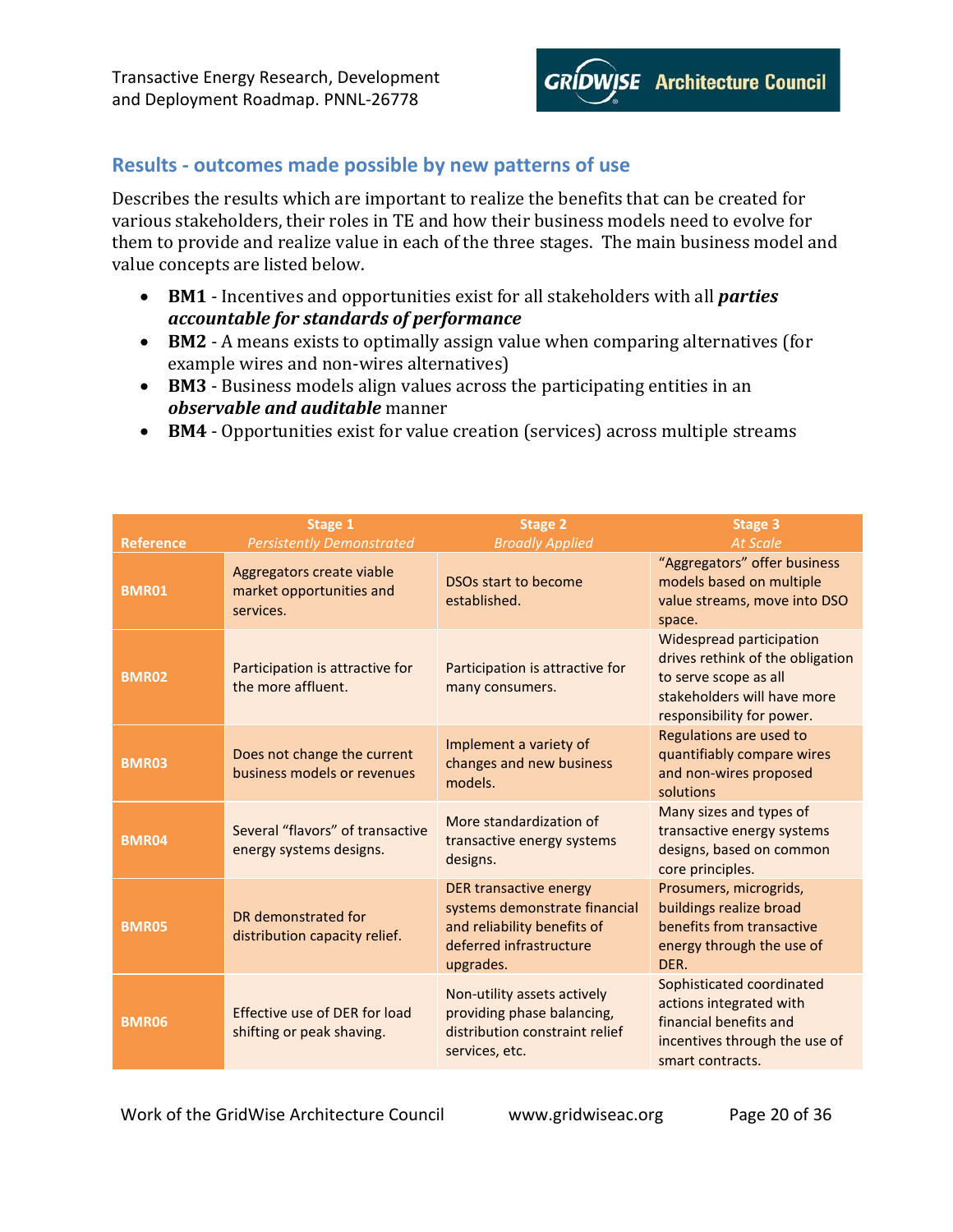

# <span id="page-19-0"></span>**Results - outcomes made possible by new patterns of use**

Describes the results which are important to realize the benefits that can be created for various stakeholders, their roles in TE and how their business models need to evolve for them to provide and realize value in each of the three stages. The main business model and value concepts are listed below.

- **BM1** Incentives and opportunities exist for all stakeholders with all *parties accountable for standards of performance*
- **BM2** A means exists to optimally assign value when comparing alternatives (for example wires and non-wires alternatives)
- **BM3** Business models align values across the participating entities in an *observable and auditable* manner
- **BM4** Opportunities exist for value creation (services) across multiple streams

| <b>Reference</b> | Stage 1<br><b>Persistently Demonstrated</b>                        | Stage 2<br><b>Broadly Applied</b>                                                                                              | Stage 3<br><b>At Scale</b>                                                                                                                        |
|------------------|--------------------------------------------------------------------|--------------------------------------------------------------------------------------------------------------------------------|---------------------------------------------------------------------------------------------------------------------------------------------------|
| <b>BMR01</b>     | Aggregators create viable<br>market opportunities and<br>services. | DSOs start to become<br>established.                                                                                           | "Aggregators" offer business<br>models based on multiple<br>value streams, move into DSO<br>space.                                                |
| <b>BMR02</b>     | Participation is attractive for<br>the more affluent.              | Participation is attractive for<br>many consumers.                                                                             | Widespread participation<br>drives rethink of the obligation<br>to serve scope as all<br>stakeholders will have more<br>responsibility for power. |
| <b>BMR03</b>     | Does not change the current<br>business models or revenues         | Implement a variety of<br>changes and new business<br>models.                                                                  | Regulations are used to<br>quantifiably compare wires<br>and non-wires proposed<br>solutions                                                      |
| <b>BMR04</b>     | Several "flavors" of transactive<br>energy systems designs.        | More standardization of<br>transactive energy systems<br>designs.                                                              | Many sizes and types of<br>transactive energy systems<br>designs, based on common<br>core principles.                                             |
| <b>BMR05</b>     | DR demonstrated for<br>distribution capacity relief.               | DER transactive energy<br>systems demonstrate financial<br>and reliability benefits of<br>deferred infrastructure<br>upgrades. | Prosumers, microgrids,<br>buildings realize broad<br>benefits from transactive<br>energy through the use of<br>DER.                               |
| <b>BMR06</b>     | Effective use of DER for load<br>shifting or peak shaving.         | Non-utility assets actively<br>providing phase balancing,<br>distribution constraint relief<br>services, etc.                  | Sophisticated coordinated<br>actions integrated with<br>financial benefits and<br>incentives through the use of<br>smart contracts.               |

Work of the GridWise Architecture Council www.gridwiseac.org Page 20 of 36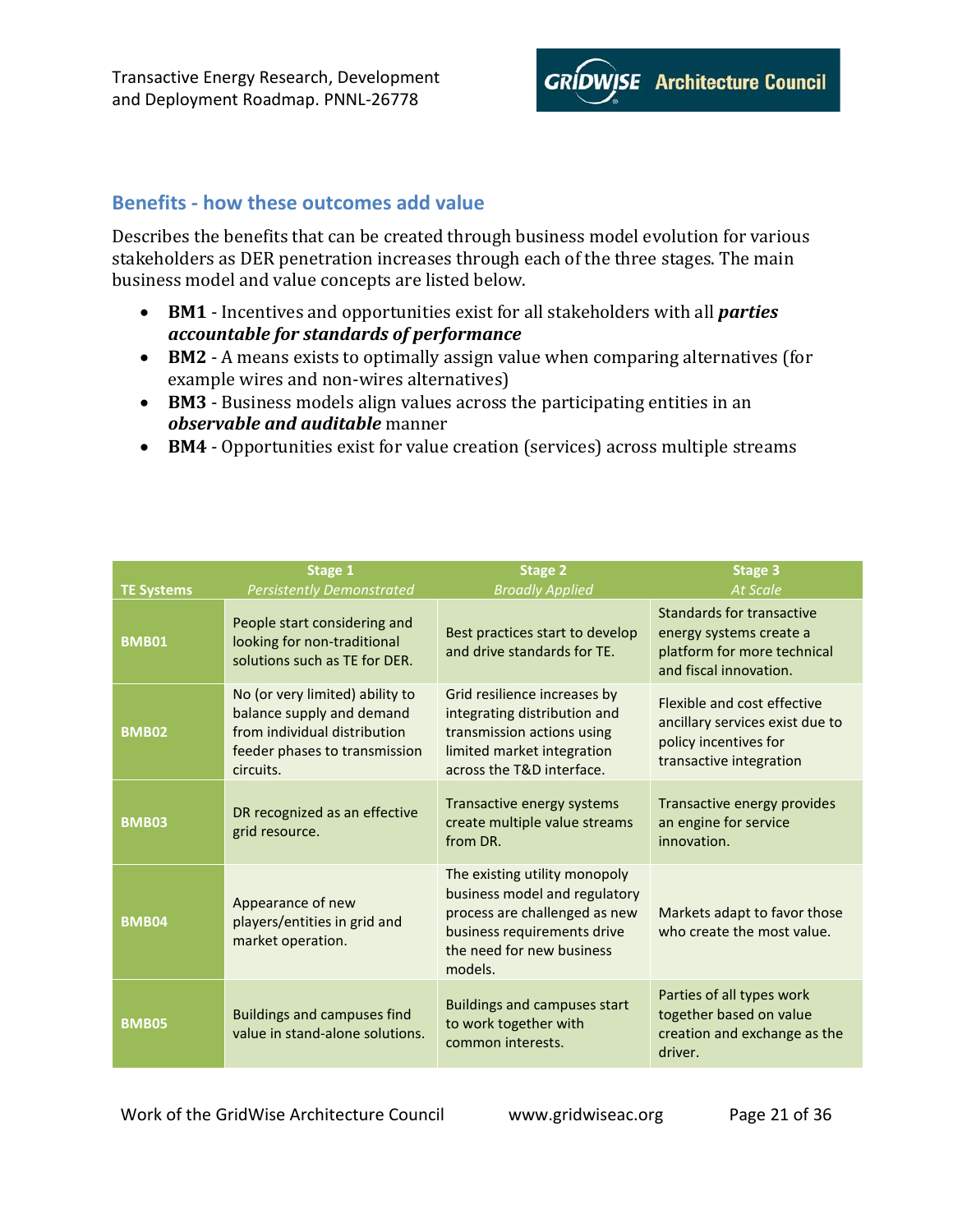

### <span id="page-20-0"></span>**Benefits - how these outcomes add value**

Describes the benefits that can be created through business model evolution for various stakeholders as DER penetration increases through each of the three stages. The main business model and value concepts are listed below.

- **BM1** Incentives and opportunities exist for all stakeholders with all *parties accountable for standards of performance*
- **BM2** A means exists to optimally assign value when comparing alternatives (for example wires and non-wires alternatives)
- **BM3** Business models align values across the participating entities in an *observable and auditable* manner
- **BM4** Opportunities exist for value creation (services) across multiple streams

| <b>TE Systems</b> | Stage 1<br><b>Persistently Demonstrated</b>                                                                                                | <b>Stage 2</b><br><b>Broadly Applied</b>                                                                                                                               | <b>Stage 3</b><br><b>At Scale</b>                                                                                  |
|-------------------|--------------------------------------------------------------------------------------------------------------------------------------------|------------------------------------------------------------------------------------------------------------------------------------------------------------------------|--------------------------------------------------------------------------------------------------------------------|
| <b>BMB01</b>      | People start considering and<br>looking for non-traditional<br>solutions such as TE for DER.                                               | Best practices start to develop<br>and drive standards for TE.                                                                                                         | Standards for transactive<br>energy systems create a<br>platform for more technical<br>and fiscal innovation.      |
| <b>BMB02</b>      | No (or very limited) ability to<br>balance supply and demand<br>from individual distribution<br>feeder phases to transmission<br>circuits. | Grid resilience increases by<br>integrating distribution and<br>transmission actions using<br>limited market integration<br>across the T&D interface.                  | Flexible and cost effective<br>ancillary services exist due to<br>policy incentives for<br>transactive integration |
| <b>BMB03</b>      | DR recognized as an effective<br>grid resource.                                                                                            | Transactive energy systems<br>create multiple value streams<br>from DR.                                                                                                | Transactive energy provides<br>an engine for service<br>innovation.                                                |
| <b>BMB04</b>      | Appearance of new<br>players/entities in grid and<br>market operation.                                                                     | The existing utility monopoly<br>business model and regulatory<br>process are challenged as new<br>business requirements drive<br>the need for new business<br>models. | Markets adapt to favor those<br>who create the most value.                                                         |
| <b>BMB05</b>      | <b>Buildings and campuses find</b><br>value in stand-alone solutions.                                                                      | <b>Buildings and campuses start</b><br>to work together with<br>common interests.                                                                                      | Parties of all types work<br>together based on value<br>creation and exchange as the<br>driver.                    |

Work of the GridWise Architecture Council www.gridwiseac.org Page 21 of 36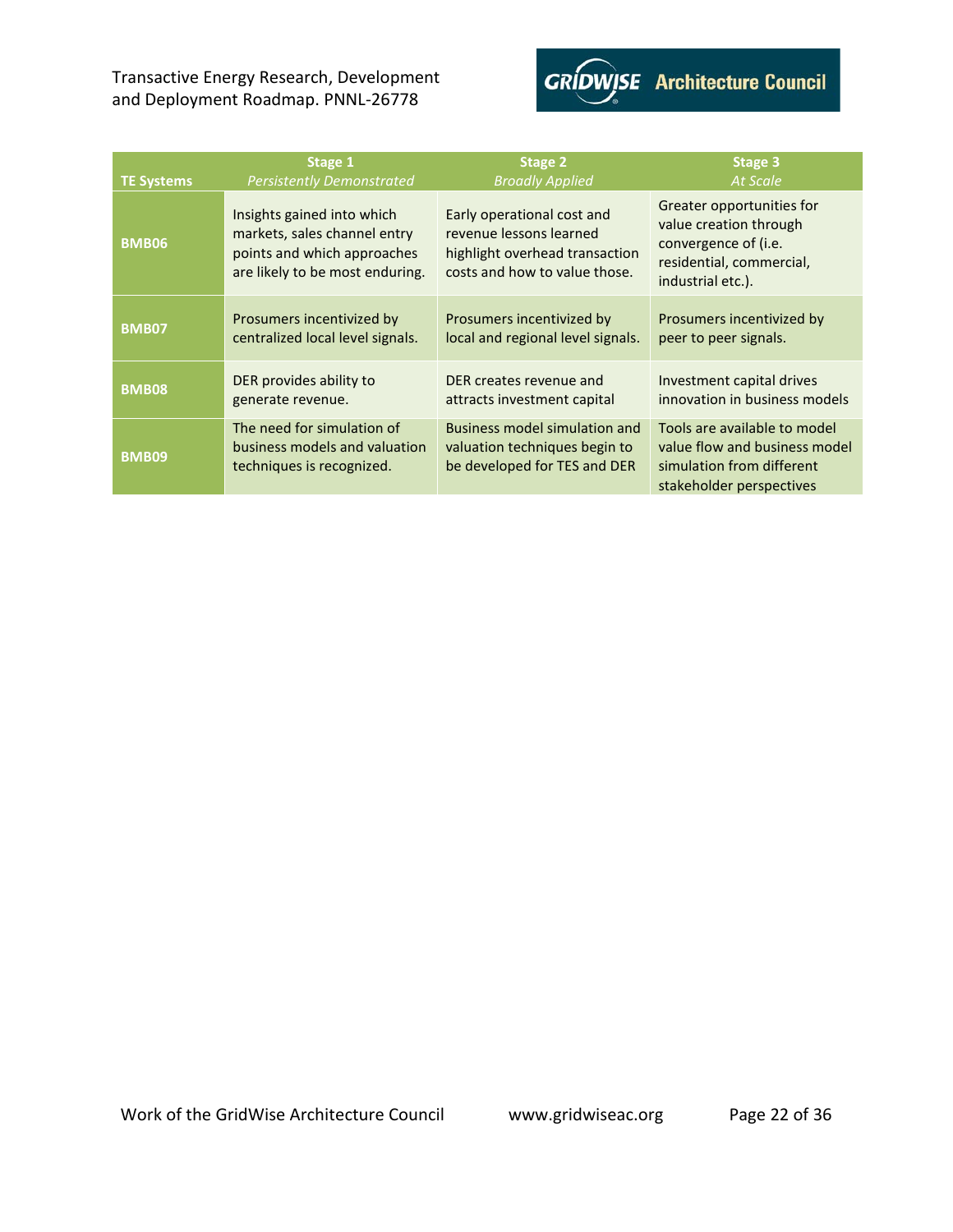

| <b>TE Systems</b> | Stage 1                                                                                                                      | <b>Stage 2</b>                                                                                                           | Stage 3                                                                                                                      |
|-------------------|------------------------------------------------------------------------------------------------------------------------------|--------------------------------------------------------------------------------------------------------------------------|------------------------------------------------------------------------------------------------------------------------------|
|                   | <b>Persistently Demonstrated</b>                                                                                             | <b>Broadly Applied</b>                                                                                                   | At Scale                                                                                                                     |
| <b>BMB06</b>      | Insights gained into which<br>markets, sales channel entry<br>points and which approaches<br>are likely to be most enduring. | Early operational cost and<br>revenue lessons learned<br>highlight overhead transaction<br>costs and how to value those. | Greater opportunities for<br>value creation through<br>convergence of (i.e.<br>residential, commercial,<br>industrial etc.). |
| <b>BMB07</b>      | Prosumers incentivized by                                                                                                    | Prosumers incentivized by                                                                                                | Prosumers incentivized by                                                                                                    |
|                   | centralized local level signals.                                                                                             | local and regional level signals.                                                                                        | peer to peer signals.                                                                                                        |
| <b>BMB08</b>      | DER provides ability to                                                                                                      | DER creates revenue and                                                                                                  | Investment capital drives                                                                                                    |
|                   | generate revenue.                                                                                                            | attracts investment capital                                                                                              | innovation in business models                                                                                                |
| <b>BMB09</b>      | The need for simulation of<br>business models and valuation<br>techniques is recognized.                                     | Business model simulation and<br>valuation techniques begin to<br>be developed for TES and DER                           | Tools are available to model<br>value flow and business model<br>simulation from different<br>stakeholder perspectives       |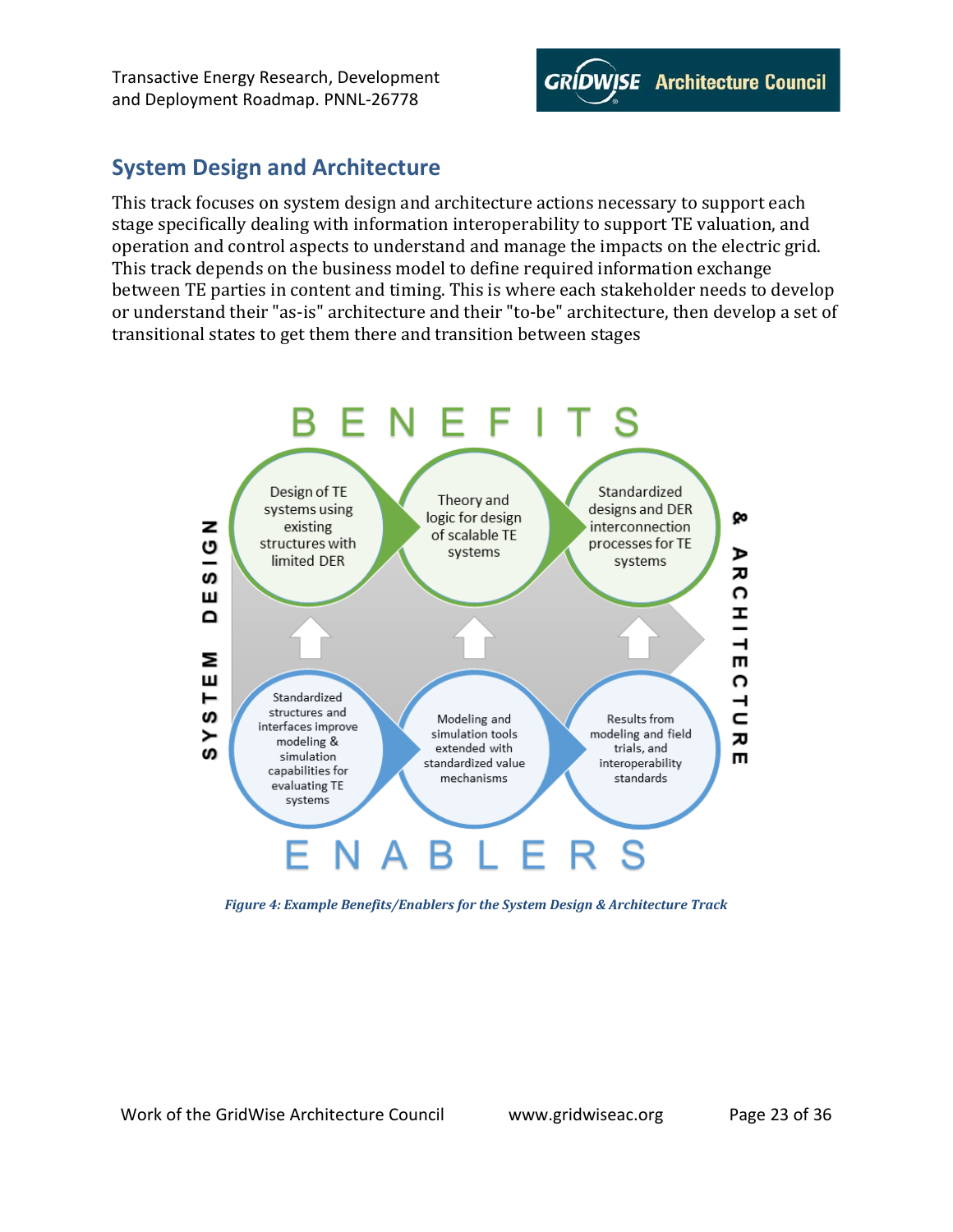

# <span id="page-22-0"></span>**System Design and Architecture**

This track focuses on system design and architecture actions necessary to support each stage specifically dealing with information interoperability to support TE valuation, and operation and control aspects to understand and manage the impacts on the electric grid. This track depends on the business model to define required information exchange between TE parties in content and timing. This is where each stakeholder needs to develop or understand their "as-is" architecture and their "to-be" architecture, then develop a set of transitional states to get them there and transition between stages



<span id="page-22-1"></span>*Figure 4: Example Benefits/Enablers for the System Design & Architecture Track*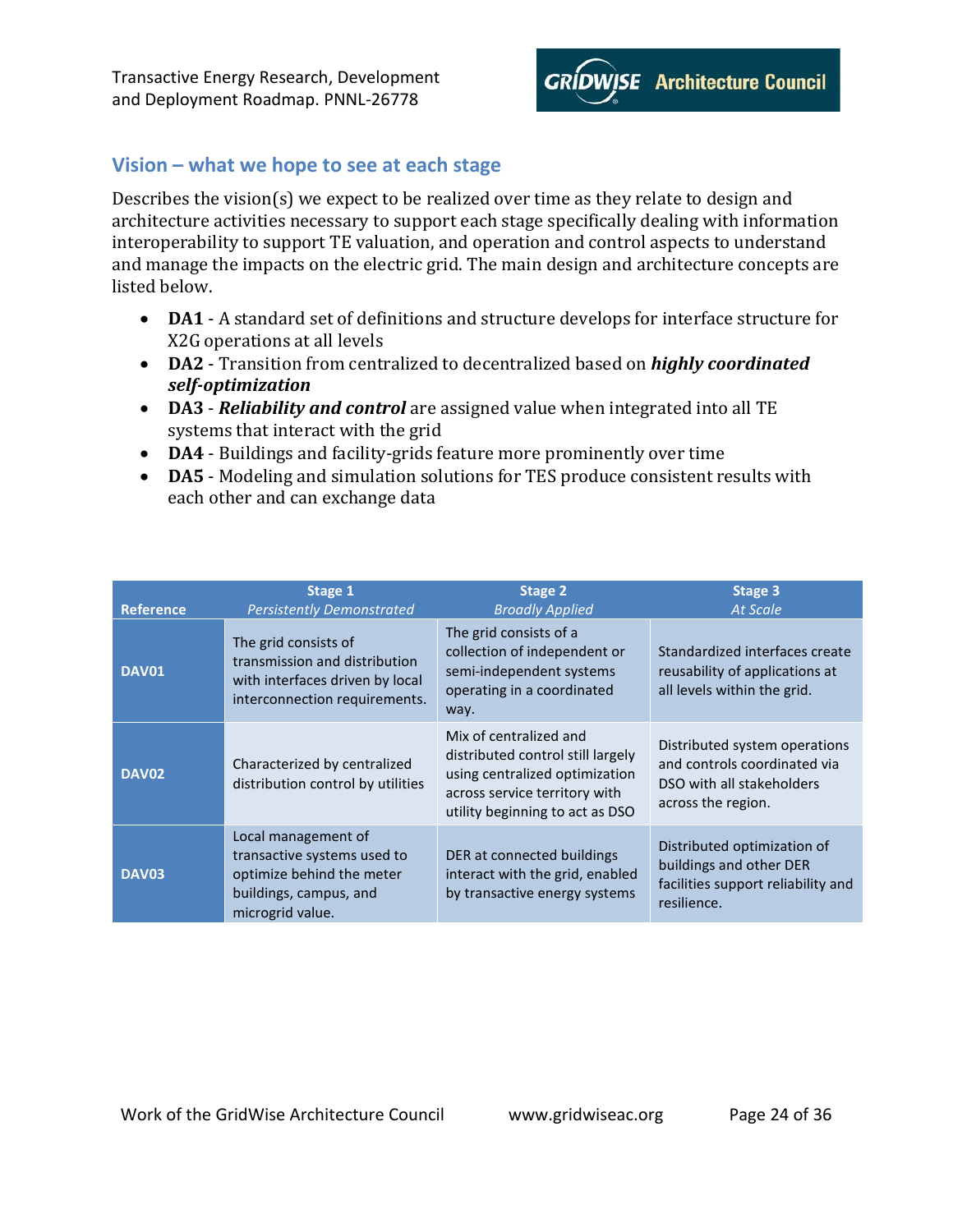

## <span id="page-23-0"></span>**Vision – what we hope to see at each stage**

Describes the vision(s) we expect to be realized over time as they relate to design and architecture activities necessary to support each stage specifically dealing with information interoperability to support TE valuation, and operation and control aspects to understand and manage the impacts on the electric grid. The main design and architecture concepts are listed below.

- **DA1** A standard set of definitions and structure develops for interface structure for X2G operations at all levels
- **DA2** Transition from centralized to decentralized based on *highly coordinated self-optimization*
- **DA3** *Reliability and control* are assigned value when integrated into all TE systems that interact with the grid
- **DA4** Buildings and facility-grids feature more prominently over time
- **DA5** Modeling and simulation solutions for TES produce consistent results with each other and can exchange data

|                  | Stage 1                                                                                                                       | Stage 2                                                                                                                                                           | Stage 3                                                                                                          |
|------------------|-------------------------------------------------------------------------------------------------------------------------------|-------------------------------------------------------------------------------------------------------------------------------------------------------------------|------------------------------------------------------------------------------------------------------------------|
| <b>Reference</b> | <b>Persistently Demonstrated</b>                                                                                              | <b>Broadly Applied</b>                                                                                                                                            | <b>At Scale</b>                                                                                                  |
| <b>DAV01</b>     | The grid consists of<br>transmission and distribution<br>with interfaces driven by local<br>interconnection requirements.     | The grid consists of a<br>collection of independent or<br>semi-independent systems<br>operating in a coordinated<br>way.                                          | Standardized interfaces create<br>reusability of applications at<br>all levels within the grid.                  |
| <b>DAV02</b>     | Characterized by centralized<br>distribution control by utilities                                                             | Mix of centralized and<br>distributed control still largely<br>using centralized optimization<br>across service territory with<br>utility beginning to act as DSO | Distributed system operations<br>and controls coordinated via<br>DSO with all stakeholders<br>across the region. |
| <b>DAV03</b>     | Local management of<br>transactive systems used to<br>optimize behind the meter<br>buildings, campus, and<br>microgrid value. | DER at connected buildings<br>interact with the grid, enabled<br>by transactive energy systems                                                                    | Distributed optimization of<br>buildings and other DER<br>facilities support reliability and<br>resilience.      |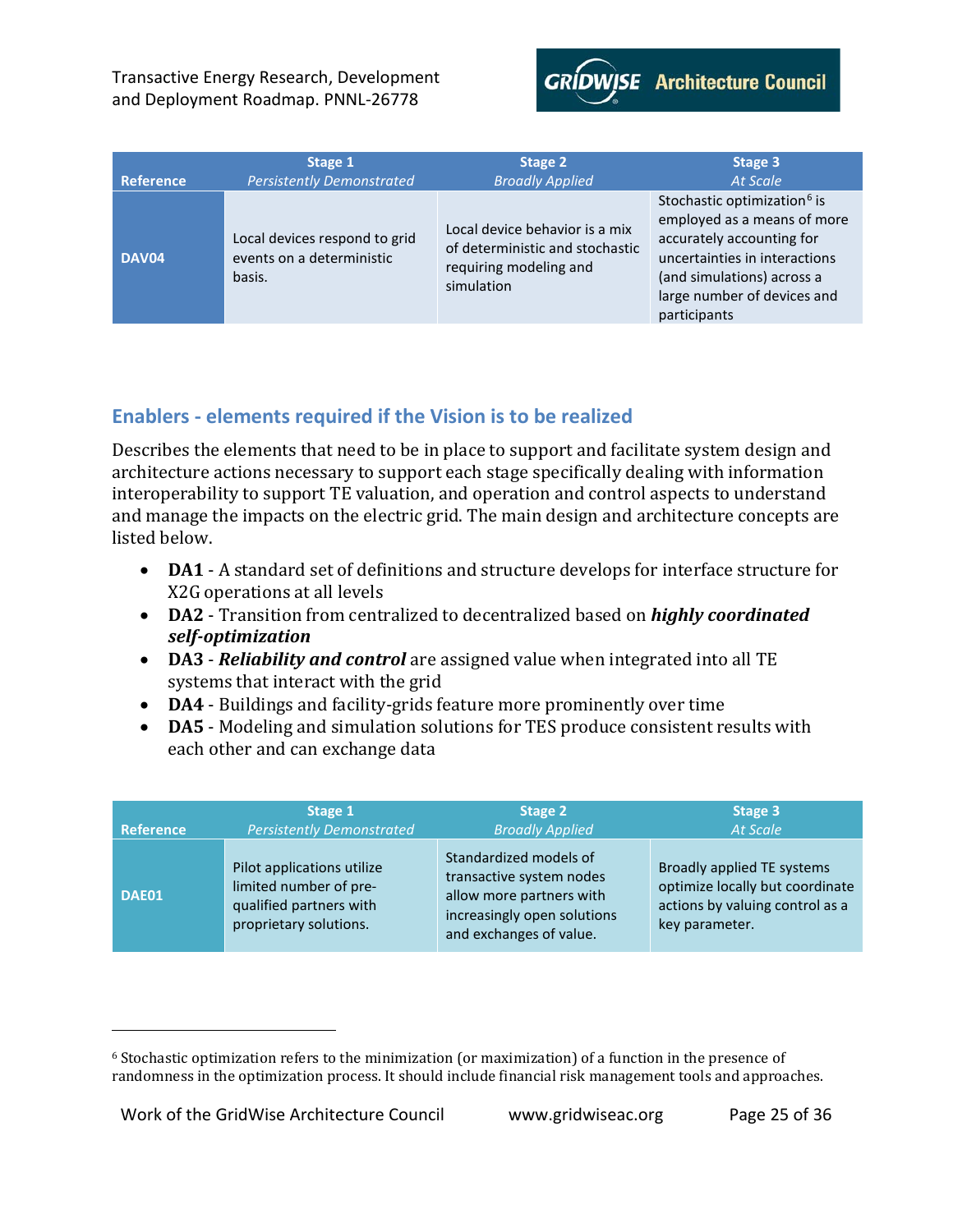

| <b>Reference</b> | Stage 1                                                              | Stage 2                                                                                                   | Stage 3                                                                                                                                                                                                           |
|------------------|----------------------------------------------------------------------|-----------------------------------------------------------------------------------------------------------|-------------------------------------------------------------------------------------------------------------------------------------------------------------------------------------------------------------------|
|                  | <b>Persistently Demonstrated</b>                                     | <b>Broadly Applied</b>                                                                                    | <b>At Scale</b>                                                                                                                                                                                                   |
| DAV04            | Local devices respond to grid<br>events on a deterministic<br>basis. | Local device behavior is a mix<br>of deterministic and stochastic<br>requiring modeling and<br>simulation | Stochastic optimization <sup>6</sup> is<br>employed as a means of more<br>accurately accounting for<br>uncertainties in interactions<br>(and simulations) across a<br>large number of devices and<br>participants |

# <span id="page-24-0"></span>**Enablers - elements required if the Vision is to be realized**

Describes the elements that need to be in place to support and facilitate system design and architecture actions necessary to support each stage specifically dealing with information interoperability to support TE valuation, and operation and control aspects to understand and manage the impacts on the electric grid. The main design and architecture concepts are listed below.

- **DA1** A standard set of definitions and structure develops for interface structure for X2G operations at all levels
- **DA2** Transition from centralized to decentralized based on *highly coordinated self-optimization*
- **DA3** *Reliability and control* are assigned value when integrated into all TE systems that interact with the grid
- **DA4** Buildings and facility-grids feature more prominently over time
- **DA5** Modeling and simulation solutions for TES produce consistent results with each other and can exchange data

| <b>Reference</b> | Stage 1                                                                                                   | Stage 2                                                                                                                                  | Stage 3                                                                                                            |
|------------------|-----------------------------------------------------------------------------------------------------------|------------------------------------------------------------------------------------------------------------------------------------------|--------------------------------------------------------------------------------------------------------------------|
|                  | <b>Persistently Demonstrated</b>                                                                          | <b>Broadly Applied</b>                                                                                                                   | <b>At Scale</b>                                                                                                    |
| DAE01            | Pilot applications utilize<br>limited number of pre-<br>qualified partners with<br>proprietary solutions. | Standardized models of<br>transactive system nodes<br>allow more partners with<br>increasingly open solutions<br>and exchanges of value. | Broadly applied TE systems<br>optimize locally but coordinate<br>actions by valuing control as a<br>key parameter. |

I

<span id="page-24-1"></span><sup>6</sup> Stochastic optimization refers to the minimization (or maximization) of a function in the presence of randomness in the optimization process. It should include financial risk management tools and approaches.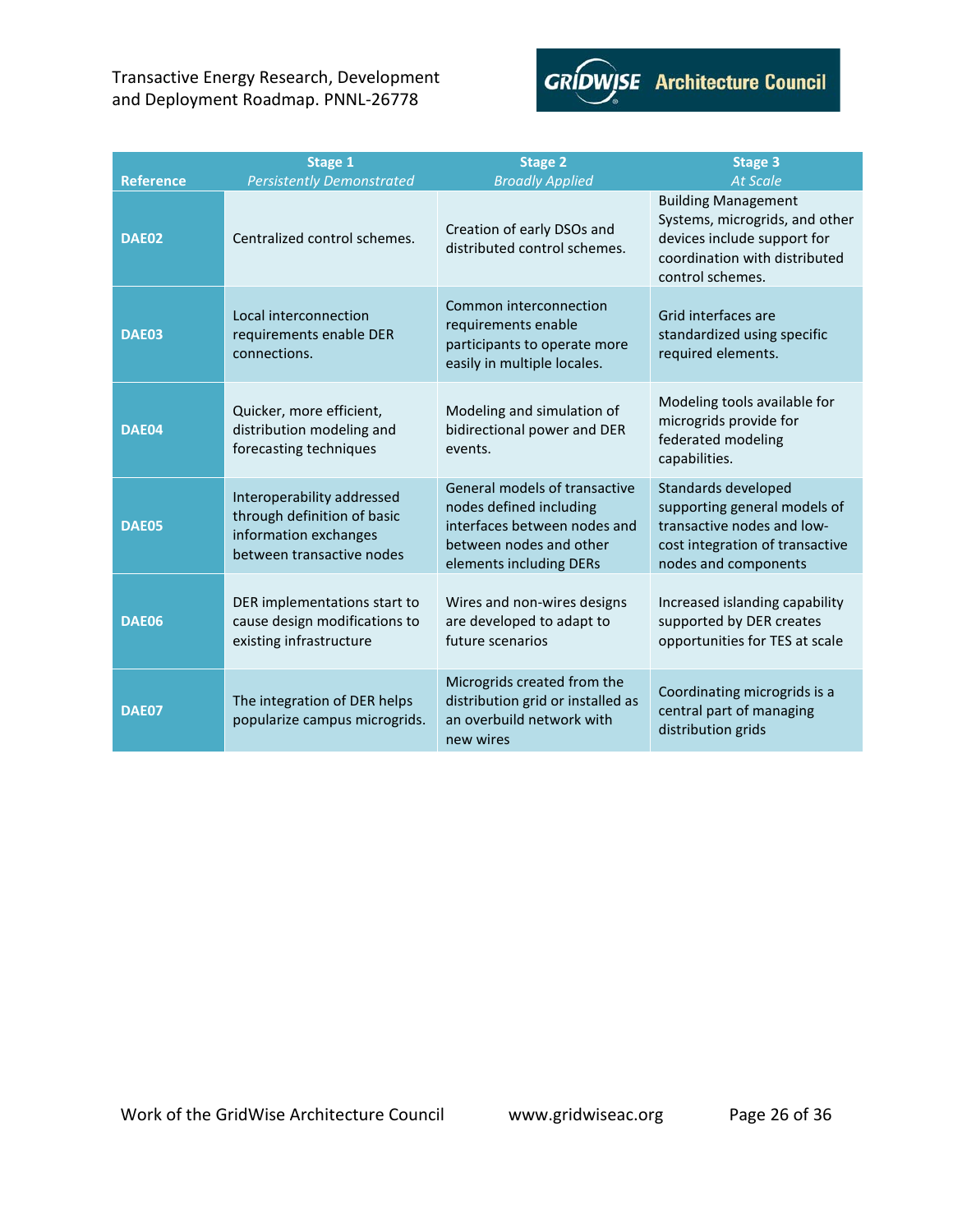

| <b>Reference</b> | Stage 1<br><b>Persistently Demonstrated</b>                                                                     | <b>Stage 2</b><br><b>Broadly Applied</b>                                                                                                       | <b>Stage 3</b><br><b>At Scale</b>                                                                                                                |
|------------------|-----------------------------------------------------------------------------------------------------------------|------------------------------------------------------------------------------------------------------------------------------------------------|--------------------------------------------------------------------------------------------------------------------------------------------------|
| DAE02            | Centralized control schemes.                                                                                    | Creation of early DSOs and<br>distributed control schemes.                                                                                     | <b>Building Management</b><br>Systems, microgrids, and other<br>devices include support for<br>coordination with distributed<br>control schemes. |
| <b>DAE03</b>     | Local interconnection<br>requirements enable DER<br>connections.                                                | Common interconnection<br>requirements enable<br>participants to operate more<br>easily in multiple locales.                                   | Grid interfaces are<br>standardized using specific<br>required elements.                                                                         |
| DAE04            | Quicker, more efficient,<br>distribution modeling and<br>forecasting techniques                                 | Modeling and simulation of<br>bidirectional power and DER<br>events.                                                                           | Modeling tools available for<br>microgrids provide for<br>federated modeling<br>capabilities.                                                    |
| DAE05            | Interoperability addressed<br>through definition of basic<br>information exchanges<br>between transactive nodes | General models of transactive<br>nodes defined including<br>interfaces between nodes and<br>between nodes and other<br>elements including DERs | Standards developed<br>supporting general models of<br>transactive nodes and low-<br>cost integration of transactive<br>nodes and components     |
| <b>DAE06</b>     | DER implementations start to<br>cause design modifications to<br>existing infrastructure                        | Wires and non-wires designs<br>are developed to adapt to<br>future scenarios                                                                   | Increased islanding capability<br>supported by DER creates<br>opportunities for TES at scale                                                     |
| DAE07            | The integration of DER helps<br>popularize campus microgrids.                                                   | Microgrids created from the<br>distribution grid or installed as<br>an overbuild network with<br>new wires                                     | Coordinating microgrids is a<br>central part of managing<br>distribution grids                                                                   |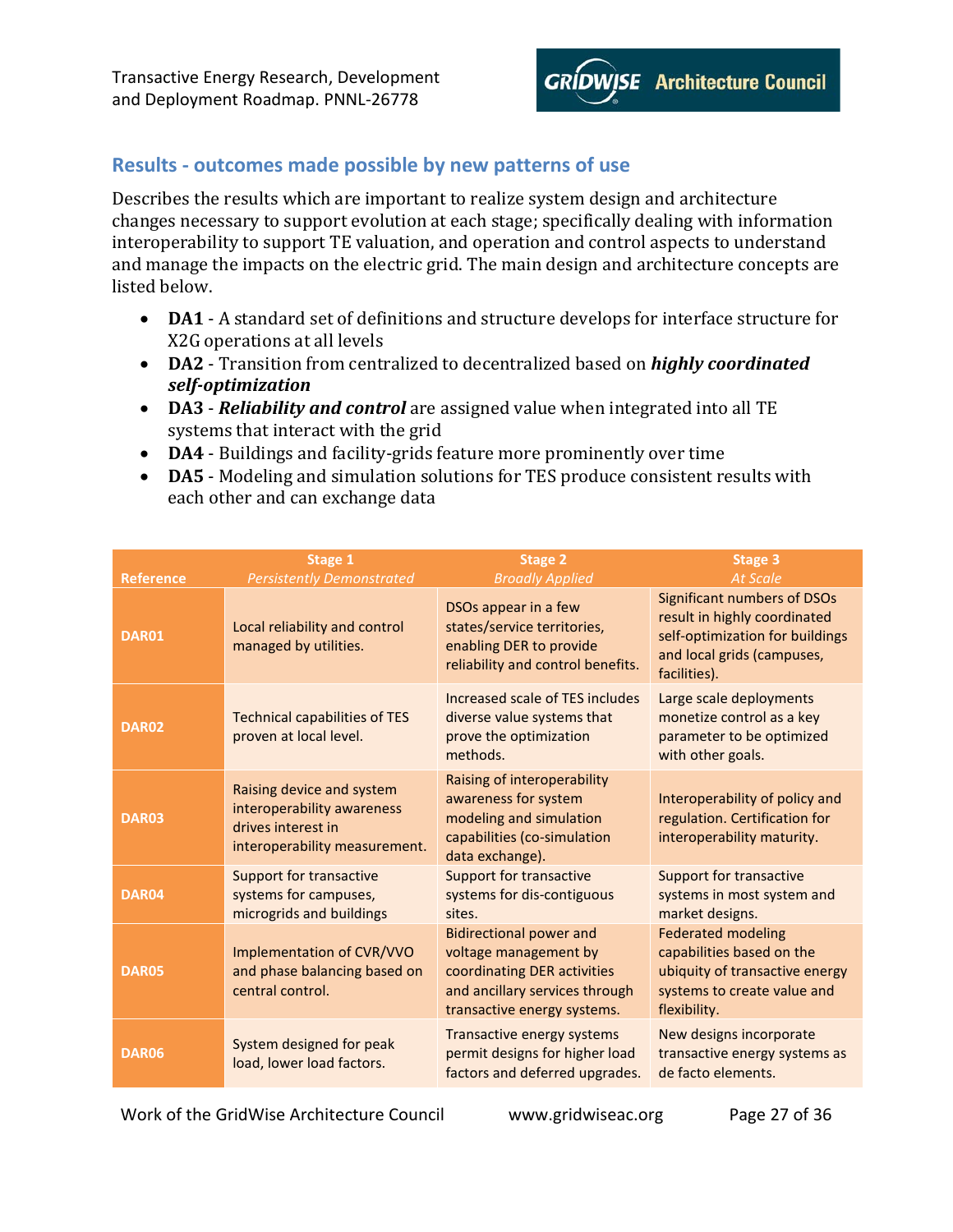

### <span id="page-26-0"></span>**Results - outcomes made possible by new patterns of use**

Describes the results which are important to realize system design and architecture changes necessary to support evolution at each stage; specifically dealing with information interoperability to support TE valuation, and operation and control aspects to understand and manage the impacts on the electric grid. The main design and architecture concepts are listed below.

- **DA1** A standard set of definitions and structure develops for interface structure for X2G operations at all levels
- **DA2** Transition from centralized to decentralized based on *highly coordinated self-optimization*
- **DA3** *Reliability and control* are assigned value when integrated into all TE systems that interact with the grid
- **DA4** Buildings and facility-grids feature more prominently over time
- **DA5** Modeling and simulation solutions for TES produce consistent results with each other and can exchange data

| <b>Reference</b> | Stage 1<br><b>Persistently Demonstrated</b>                                                                    | Stage 2<br><b>Broadly Applied</b>                                                                                                                       | <b>Stage 3</b><br><b>At Scale</b>                                                                                                                   |
|------------------|----------------------------------------------------------------------------------------------------------------|---------------------------------------------------------------------------------------------------------------------------------------------------------|-----------------------------------------------------------------------------------------------------------------------------------------------------|
| DAR01            | Local reliability and control<br>managed by utilities.                                                         | DSOs appear in a few<br>states/service territories,<br>enabling DER to provide<br>reliability and control benefits.                                     | <b>Significant numbers of DSOs</b><br>result in highly coordinated<br>self-optimization for buildings<br>and local grids (campuses,<br>facilities). |
| <b>DAR02</b>     | <b>Technical capabilities of TES</b><br>proven at local level.                                                 | Increased scale of TES includes<br>diverse value systems that<br>prove the optimization<br>methods.                                                     | Large scale deployments<br>monetize control as a key<br>parameter to be optimized<br>with other goals.                                              |
| DAR03            | Raising device and system<br>interoperability awareness<br>drives interest in<br>interoperability measurement. | Raising of interoperability<br>awareness for system<br>modeling and simulation<br>capabilities (co-simulation<br>data exchange).                        | Interoperability of policy and<br>regulation. Certification for<br>interoperability maturity.                                                       |
| DAR04            | <b>Support for transactive</b><br>systems for campuses,<br>microgrids and buildings                            | <b>Support for transactive</b><br>systems for dis-contiguous<br>sites.                                                                                  | <b>Support for transactive</b><br>systems in most system and<br>market designs.                                                                     |
| DAR05            | Implementation of CVR/VVO<br>and phase balancing based on<br>central control.                                  | <b>Bidirectional power and</b><br>voltage management by<br>coordinating DER activities<br>and ancillary services through<br>transactive energy systems. | <b>Federated modeling</b><br>capabilities based on the<br>ubiquity of transactive energy<br>systems to create value and<br>flexibility.             |
| DAR06            | System designed for peak<br>load, lower load factors.                                                          | Transactive energy systems<br>permit designs for higher load<br>factors and deferred upgrades.                                                          | New designs incorporate<br>transactive energy systems as<br>de facto elements.                                                                      |

Work of the GridWise Architecture Council www.gridwiseac.org Page 27 of 36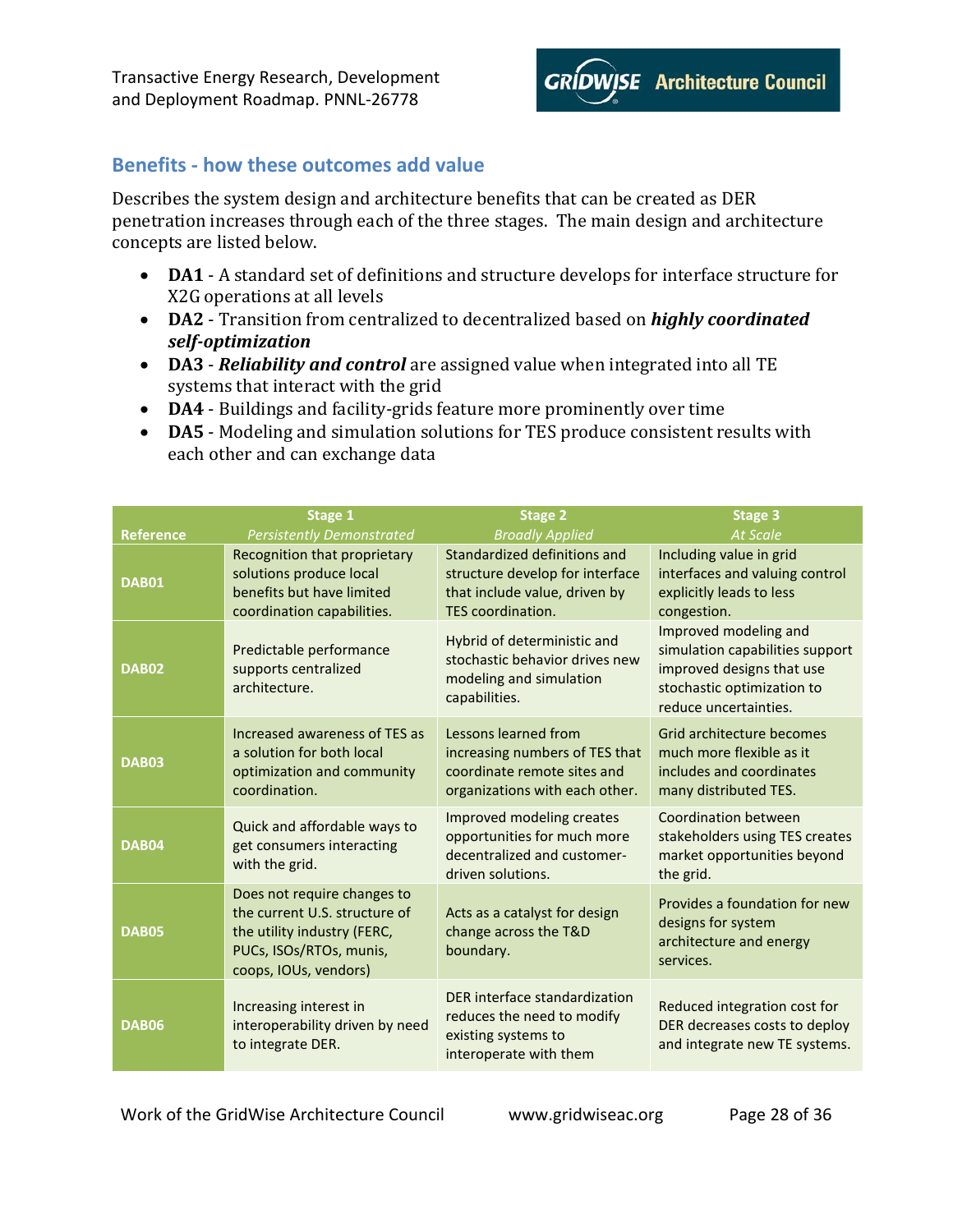

# <span id="page-27-0"></span>**Benefits - how these outcomes add value**

Describes the system design and architecture benefits that can be created as DER penetration increases through each of the three stages. The main design and architecture concepts are listed below.

- **DA1** A standard set of definitions and structure develops for interface structure for X2G operations at all levels
- **DA2** Transition from centralized to decentralized based on *highly coordinated self-optimization*
- **DA3** *Reliability and control* are assigned value when integrated into all TE systems that interact with the grid
- **DA4** Buildings and facility-grids feature more prominently over time
- **DA5** Modeling and simulation solutions for TES produce consistent results with each other and can exchange data

| <b>Reference</b> | Stage 1<br><b>Persistently Demonstrated</b>                                                                                                     | <b>Stage 2</b><br><b>Broadly Applied</b>                                                                                | <b>Stage 3</b><br><b>At Scale</b>                                                                                                            |
|------------------|-------------------------------------------------------------------------------------------------------------------------------------------------|-------------------------------------------------------------------------------------------------------------------------|----------------------------------------------------------------------------------------------------------------------------------------------|
| <b>DAB01</b>     | Recognition that proprietary<br>solutions produce local<br>benefits but have limited<br>coordination capabilities.                              | Standardized definitions and<br>structure develop for interface<br>that include value, driven by<br>TES coordination.   | Including value in grid<br>interfaces and valuing control<br>explicitly leads to less<br>congestion.                                         |
| <b>DAB02</b>     | Predictable performance<br>supports centralized<br>architecture.                                                                                | Hybrid of deterministic and<br>stochastic behavior drives new<br>modeling and simulation<br>capabilities.               | Improved modeling and<br>simulation capabilities support<br>improved designs that use<br>stochastic optimization to<br>reduce uncertainties. |
| <b>DAB03</b>     | Increased awareness of TES as<br>a solution for both local<br>optimization and community<br>coordination.                                       | Lessons learned from<br>increasing numbers of TES that<br>coordinate remote sites and<br>organizations with each other. | Grid architecture becomes<br>much more flexible as it<br>includes and coordinates<br>many distributed TES.                                   |
| DAB04            | Quick and affordable ways to<br>get consumers interacting<br>with the grid.                                                                     | Improved modeling creates<br>opportunities for much more<br>decentralized and customer-<br>driven solutions.            | <b>Coordination between</b><br>stakeholders using TES creates<br>market opportunities beyond<br>the grid.                                    |
| <b>DAB05</b>     | Does not require changes to<br>the current U.S. structure of<br>the utility industry (FERC,<br>PUCs, ISOs/RTOs, munis,<br>coops, IOUs, vendors) | Acts as a catalyst for design<br>change across the T&D<br>boundary.                                                     | Provides a foundation for new<br>designs for system<br>architecture and energy<br>services.                                                  |
| <b>DAB06</b>     | Increasing interest in<br>interoperability driven by need<br>to integrate DER.                                                                  | DER interface standardization<br>reduces the need to modify<br>existing systems to<br>interoperate with them            | Reduced integration cost for<br>DER decreases costs to deploy<br>and integrate new TE systems.                                               |

Work of the GridWise Architecture Council www.gridwiseac.org Page 28 of 36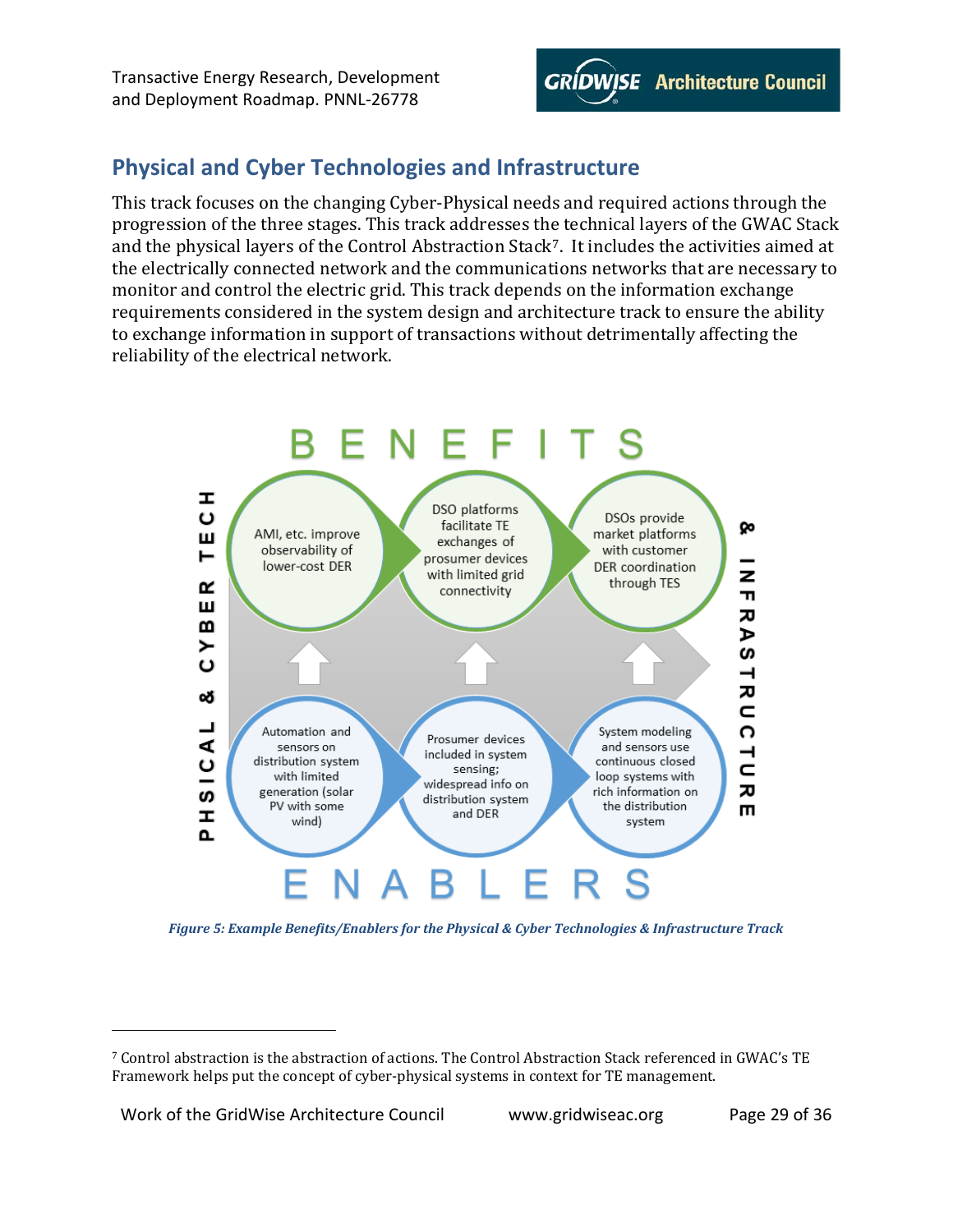

# <span id="page-28-0"></span>**Physical and Cyber Technologies and Infrastructure**

This track focuses on the changing Cyber-Physical needs and required actions through the progression of the three stages. This track addresses the technical layers of the GWAC Stack and the physical layers of the Control Abstraction Stack<sup>7</sup>. It includes the activities aimed at the electrically connected network and the communications networks that are necessary to monitor and control the electric grid. This track depends on the information exchange requirements considered in the system design and architecture track to ensure the ability to exchange information in support of transactions without detrimentally affecting the reliability of the electrical network.



<span id="page-28-1"></span>*Figure 5: Example Benefits/Enablers for the Physical & Cyber Technologies & Infrastructure Track*

I

<span id="page-28-2"></span><sup>7</sup> Control abstraction is the abstraction of actions. The Control Abstraction Stack referenced in GWAC's TE Framework helps put the concept of cyber-physical systems in context for TE management.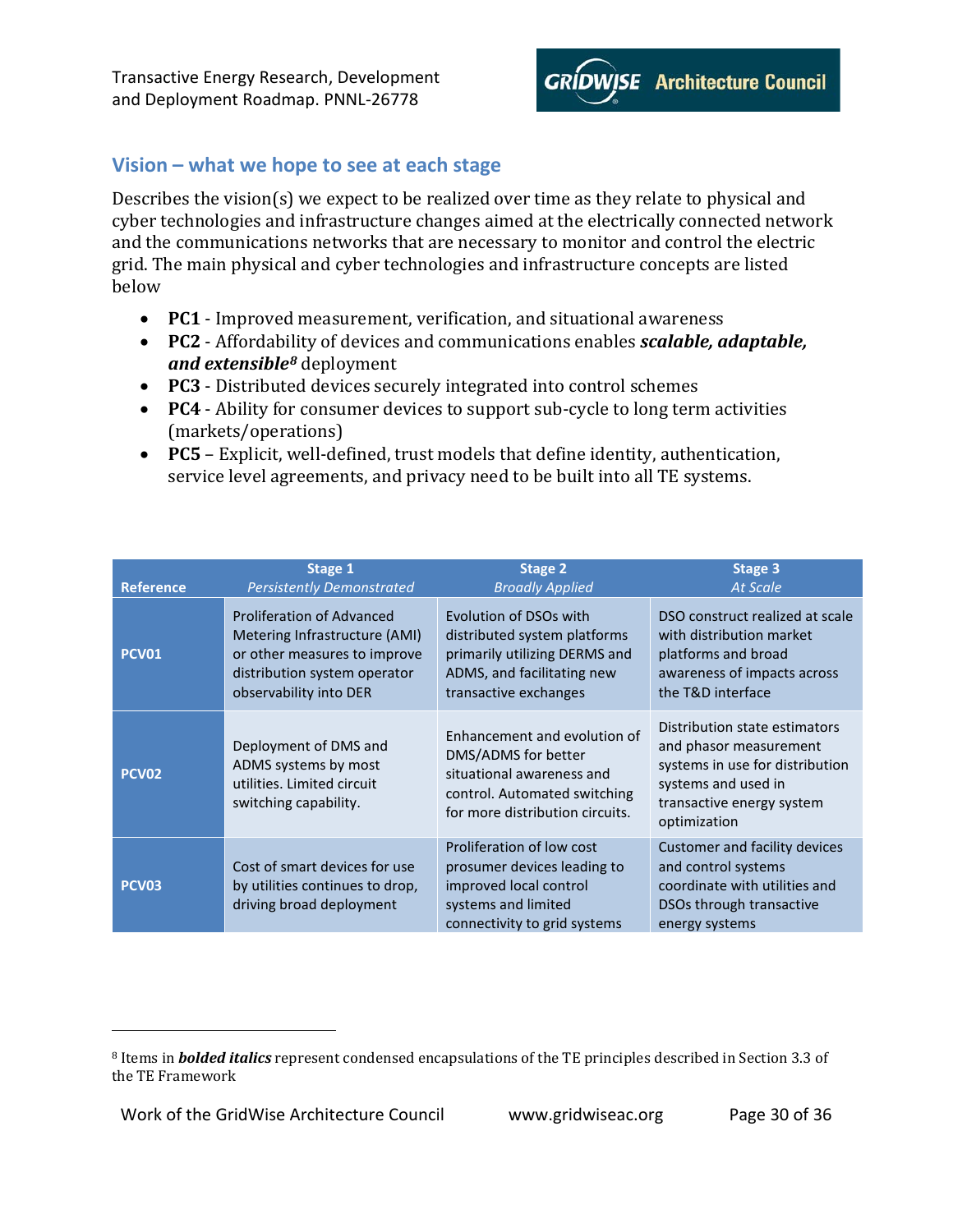

# <span id="page-29-0"></span>**Vision – what we hope to see at each stage**

Describes the vision(s) we expect to be realized over time as they relate to physical and cyber technologies and infrastructure changes aimed at the electrically connected network and the communications networks that are necessary to monitor and control the electric grid. The main physical and cyber technologies and infrastructure concepts are listed below

- **PC1** Improved measurement, verification, and situational awareness
- **PC2** Affordability of devices and communications enables *scalable, adaptable, and extensible[8](#page-29-1)* deployment
- **PC3** Distributed devices securely integrated into control schemes
- **PC4** Ability for consumer devices to support sub-cycle to long term activities (markets/operations)
- **PC5** Explicit, well-defined, trust models that define identity, authentication, service level agreements, and privacy need to be built into all TE systems.

| <b>Reference</b>  | Stage 1                                                                                              | Stage 2                                                                                                                                             | Stage 3                                                                                                                                                        |
|-------------------|------------------------------------------------------------------------------------------------------|-----------------------------------------------------------------------------------------------------------------------------------------------------|----------------------------------------------------------------------------------------------------------------------------------------------------------------|
|                   | <b>Persistently Demonstrated</b>                                                                     | <b>Broadly Applied</b>                                                                                                                              | <b>At Scale</b>                                                                                                                                                |
| <b>PCV01</b>      | <b>Proliferation of Advanced</b>                                                                     | Evolution of DSOs with                                                                                                                              | DSO construct realized at scale                                                                                                                                |
|                   | Metering Infrastructure (AMI)                                                                        | distributed system platforms                                                                                                                        | with distribution market                                                                                                                                       |
|                   | or other measures to improve                                                                         | primarily utilizing DERMS and                                                                                                                       | platforms and broad                                                                                                                                            |
|                   | distribution system operator                                                                         | ADMS, and facilitating new                                                                                                                          | awareness of impacts across                                                                                                                                    |
|                   | observability into DER                                                                               | transactive exchanges                                                                                                                               | the T&D interface                                                                                                                                              |
| <b>PCV02</b>      | Deployment of DMS and<br>ADMS systems by most<br>utilities. Limited circuit<br>switching capability. | Enhancement and evolution of<br>DMS/ADMS for better<br>situational awareness and<br>control. Automated switching<br>for more distribution circuits. | Distribution state estimators<br>and phasor measurement<br>systems in use for distribution<br>systems and used in<br>transactive energy system<br>optimization |
| PCV <sub>03</sub> | Cost of smart devices for use<br>by utilities continues to drop,<br>driving broad deployment         | Proliferation of low cost<br>prosumer devices leading to<br>improved local control<br>systems and limited<br>connectivity to grid systems           | Customer and facility devices<br>and control systems<br>coordinate with utilities and<br>DSOs through transactive<br>energy systems                            |

Work of the GridWise Architecture Council www.gridwiseac.org Page 30 of 36

I

<span id="page-29-1"></span><sup>8</sup> Items in *bolded italics* represent condensed encapsulations of the TE principles described in Section 3.3 of the TE Framework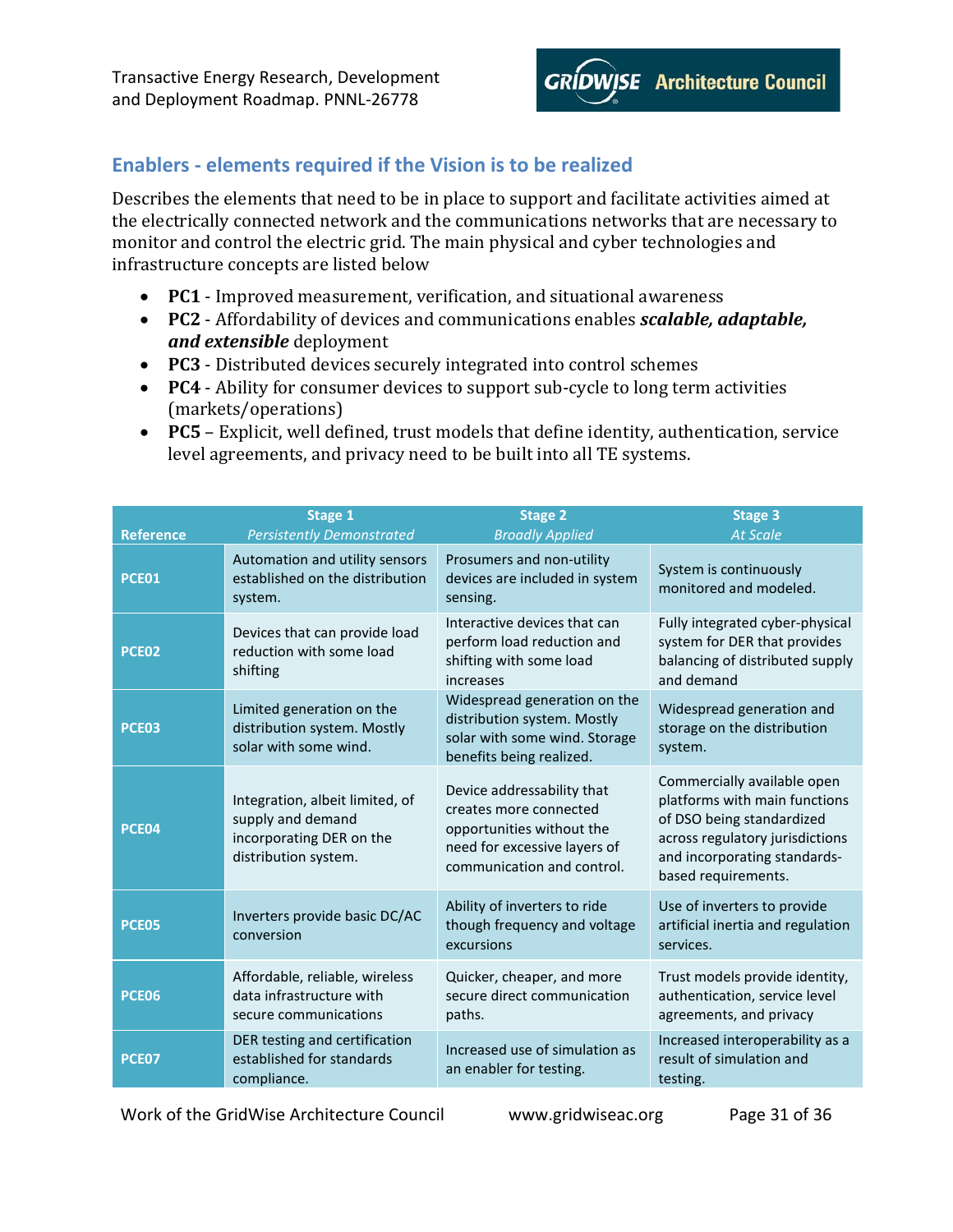

# <span id="page-30-0"></span>**Enablers - elements required if the Vision is to be realized**

Describes the elements that need to be in place to support and facilitate activities aimed at the electrically connected network and the communications networks that are necessary to monitor and control the electric grid. The main physical and cyber technologies and infrastructure concepts are listed below

- **PC1** Improved measurement, verification, and situational awareness
- **PC2** Affordability of devices and communications enables *scalable, adaptable, and extensible* deployment
- **PC3** Distributed devices securely integrated into control schemes
- **PC4** Ability for consumer devices to support sub-cycle to long term activities (markets/operations)
- **PC5** Explicit, well defined, trust models that define identity, authentication, service level agreements, and privacy need to be built into all TE systems.

| <b>Reference</b> | Stage 1<br><b>Persistently Demonstrated</b>                                                              | <b>Stage 2</b><br><b>Broadly Applied</b>                                                                                                        | <b>Stage 3</b><br><b>At Scale</b>                                                                                                                                                   |
|------------------|----------------------------------------------------------------------------------------------------------|-------------------------------------------------------------------------------------------------------------------------------------------------|-------------------------------------------------------------------------------------------------------------------------------------------------------------------------------------|
| PCE01            | Automation and utility sensors<br>established on the distribution<br>system.                             | Prosumers and non-utility<br>devices are included in system<br>sensing.                                                                         | System is continuously<br>monitored and modeled.                                                                                                                                    |
| PCE02            | Devices that can provide load<br>reduction with some load<br>shifting                                    | Interactive devices that can<br>perform load reduction and<br>shifting with some load<br>increases                                              | Fully integrated cyber-physical<br>system for DER that provides<br>balancing of distributed supply<br>and demand                                                                    |
| <b>PCE03</b>     | Limited generation on the<br>distribution system. Mostly<br>solar with some wind.                        | Widespread generation on the<br>distribution system. Mostly<br>solar with some wind. Storage<br>benefits being realized.                        | Widespread generation and<br>storage on the distribution<br>system.                                                                                                                 |
| PCE04            | Integration, albeit limited, of<br>supply and demand<br>incorporating DER on the<br>distribution system. | Device addressability that<br>creates more connected<br>opportunities without the<br>need for excessive layers of<br>communication and control. | Commercially available open<br>platforms with main functions<br>of DSO being standardized<br>across regulatory jurisdictions<br>and incorporating standards-<br>based requirements. |
| PCE05            | Inverters provide basic DC/AC<br>conversion                                                              | Ability of inverters to ride<br>though frequency and voltage<br>excursions                                                                      | Use of inverters to provide<br>artificial inertia and regulation<br>services.                                                                                                       |
| <b>PCE06</b>     | Affordable, reliable, wireless<br>data infrastructure with<br>secure communications                      | Quicker, cheaper, and more<br>secure direct communication<br>paths.                                                                             | Trust models provide identity,<br>authentication, service level<br>agreements, and privacy                                                                                          |
| <b>PCE07</b>     | DER testing and certification<br>established for standards<br>compliance.                                | Increased use of simulation as<br>an enabler for testing.                                                                                       | Increased interoperability as a<br>result of simulation and<br>testing.                                                                                                             |

Work of the GridWise Architecture Council www.gridwiseac.org Page 31 of 36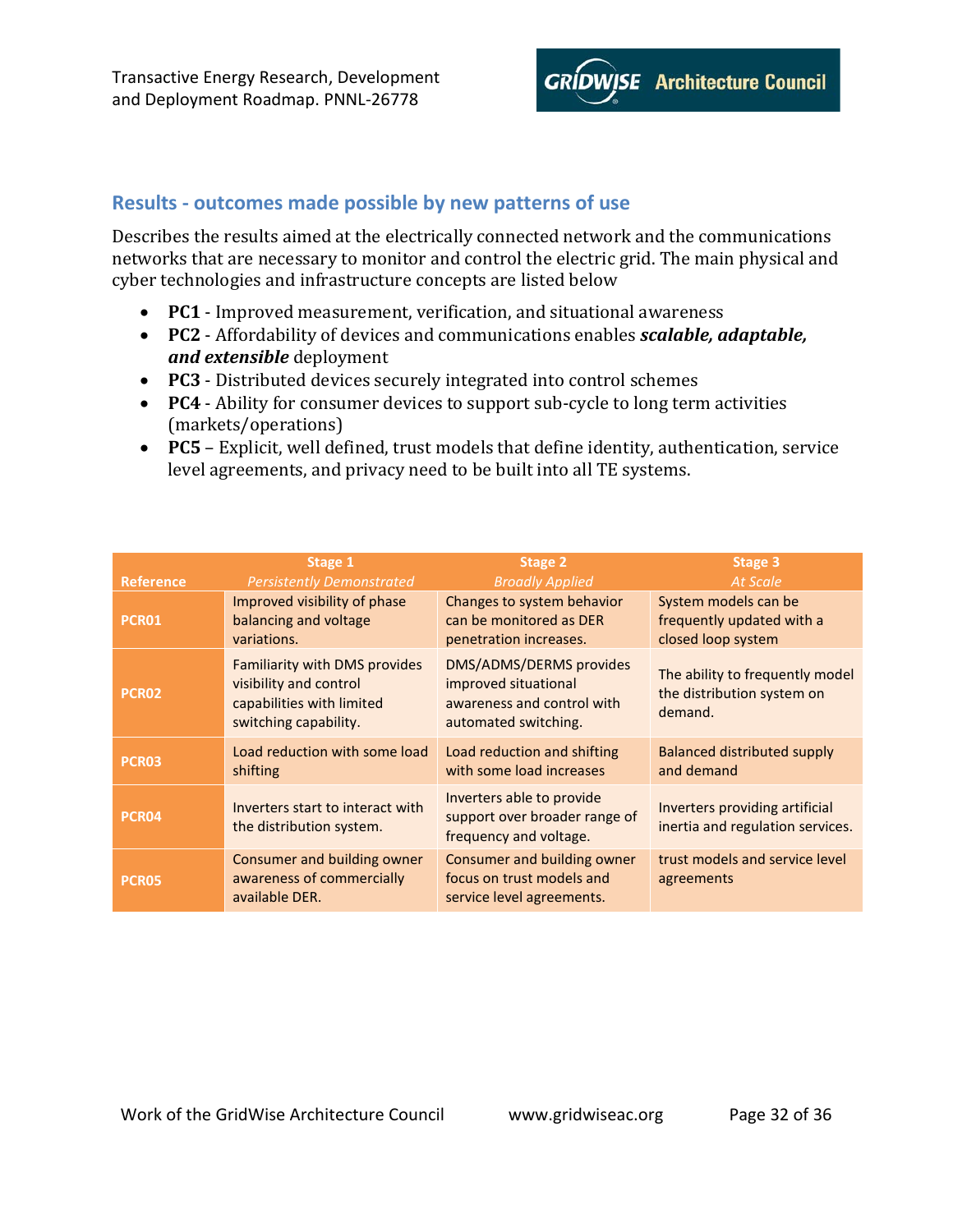

### <span id="page-31-0"></span>**Results - outcomes made possible by new patterns of use**

Describes the results aimed at the electrically connected network and the communications networks that are necessary to monitor and control the electric grid. The main physical and cyber technologies and infrastructure concepts are listed below

- **PC1** Improved measurement, verification, and situational awareness
- **PC2** Affordability of devices and communications enables *scalable, adaptable, and extensible* deployment
- **PC3** Distributed devices securely integrated into control schemes
- **PC4** Ability for consumer devices to support sub-cycle to long term activities (markets/operations)
- **PC5** Explicit, well defined, trust models that define identity, authentication, service level agreements, and privacy need to be built into all TE systems.

| <b>Reference</b>  | Stage 1                                                                                                       | Stage 2                                                                                               | Stage 3                                                                  |
|-------------------|---------------------------------------------------------------------------------------------------------------|-------------------------------------------------------------------------------------------------------|--------------------------------------------------------------------------|
|                   | <b>Persistently Demonstrated</b>                                                                              | <b>Broadly Applied</b>                                                                                | <b>At Scale</b>                                                          |
| PCR <sub>01</sub> | Improved visibility of phase                                                                                  | Changes to system behavior                                                                            | System models can be                                                     |
|                   | balancing and voltage                                                                                         | can be monitored as DER                                                                               | frequently updated with a                                                |
|                   | variations.                                                                                                   | penetration increases.                                                                                | closed loop system                                                       |
| <b>PCR02</b>      | Familiarity with DMS provides<br>visibility and control<br>capabilities with limited<br>switching capability. | DMS/ADMS/DERMS provides<br>improved situational<br>awareness and control with<br>automated switching. | The ability to frequently model<br>the distribution system on<br>demand. |
| PCR03             | Load reduction with some load                                                                                 | Load reduction and shifting                                                                           | <b>Balanced distributed supply</b>                                       |
|                   | shifting                                                                                                      | with some load increases                                                                              | and demand                                                               |
| PCR04             | Inverters start to interact with<br>the distribution system.                                                  | Inverters able to provide<br>support over broader range of<br>frequency and voltage.                  | Inverters providing artificial<br>inertia and regulation services.       |
| PCR05             | Consumer and building owner<br>awareness of commercially<br>available DER.                                    | Consumer and building owner<br>focus on trust models and<br>service level agreements.                 | trust models and service level<br>agreements                             |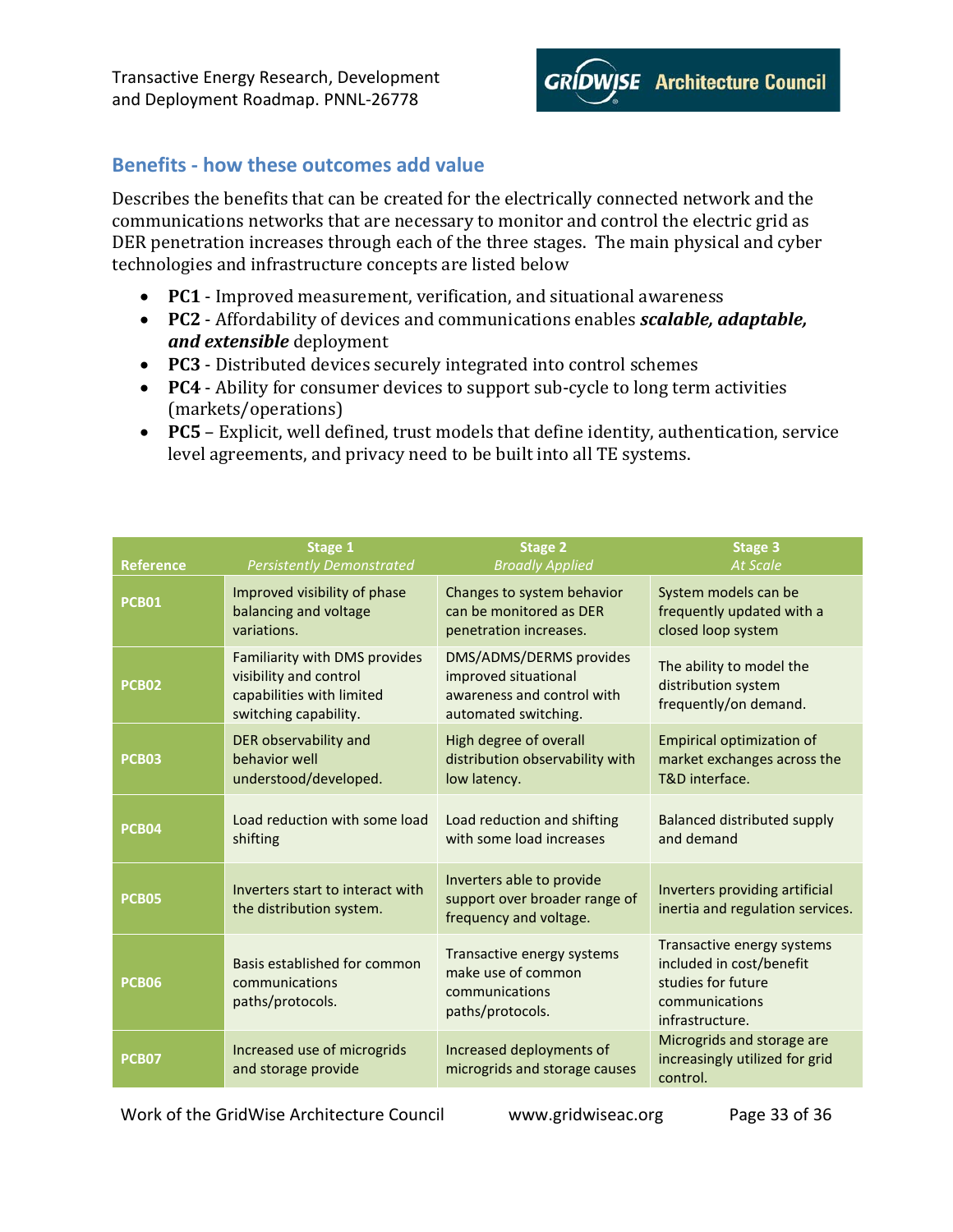

# <span id="page-32-0"></span>**Benefits - how these outcomes add value**

Describes the benefits that can be created for the electrically connected network and the communications networks that are necessary to monitor and control the electric grid as DER penetration increases through each of the three stages. The main physical and cyber technologies and infrastructure concepts are listed below

- **PC1** Improved measurement, verification, and situational awareness
- **PC2** Affordability of devices and communications enables *scalable, adaptable, and extensible* deployment
- **PC3** Distributed devices securely integrated into control schemes
- **PC4** Ability for consumer devices to support sub-cycle to long term activities (markets/operations)
- **PC5** Explicit, well defined, trust models that define identity, authentication, service level agreements, and privacy need to be built into all TE systems.

| <b>Reference</b> | Stage 1                                                                                                       | <b>Stage 2</b>                                                                                        | <b>Stage 3</b>                                                                                                    |
|------------------|---------------------------------------------------------------------------------------------------------------|-------------------------------------------------------------------------------------------------------|-------------------------------------------------------------------------------------------------------------------|
|                  | <b>Persistently Demonstrated</b>                                                                              | <b>Broadly Applied</b>                                                                                | <b>At Scale</b>                                                                                                   |
| <b>PCB01</b>     | Improved visibility of phase                                                                                  | Changes to system behavior                                                                            | System models can be                                                                                              |
|                  | balancing and voltage                                                                                         | can be monitored as DER                                                                               | frequently updated with a                                                                                         |
|                  | variations.                                                                                                   | penetration increases.                                                                                | closed loop system                                                                                                |
| <b>PCB02</b>     | Familiarity with DMS provides<br>visibility and control<br>capabilities with limited<br>switching capability. | DMS/ADMS/DERMS provides<br>improved situational<br>awareness and control with<br>automated switching. | The ability to model the<br>distribution system<br>frequently/on demand.                                          |
| <b>PCB03</b>     | DER observability and                                                                                         | High degree of overall                                                                                | <b>Empirical optimization of</b>                                                                                  |
|                  | behavior well                                                                                                 | distribution observability with                                                                       | market exchanges across the                                                                                       |
|                  | understood/developed.                                                                                         | low latency.                                                                                          | T&D interface.                                                                                                    |
| <b>PCB04</b>     | Load reduction with some load                                                                                 | Load reduction and shifting                                                                           | Balanced distributed supply                                                                                       |
|                  | shifting                                                                                                      | with some load increases                                                                              | and demand                                                                                                        |
| <b>PCB05</b>     | Inverters start to interact with<br>the distribution system.                                                  | Inverters able to provide<br>support over broader range of<br>frequency and voltage.                  | Inverters providing artificial<br>inertia and regulation services.                                                |
| <b>PCB06</b>     | Basis established for common<br>communications<br>paths/protocols.                                            | Transactive energy systems<br>make use of common<br>communications<br>paths/protocols.                | Transactive energy systems<br>included in cost/benefit<br>studies for future<br>communications<br>infrastructure. |
| <b>PCB07</b>     | Increased use of microgrids<br>and storage provide                                                            | Increased deployments of<br>microgrids and storage causes                                             | Microgrids and storage are<br>increasingly utilized for grid<br>control.                                          |

Work of the GridWise Architecture Council www.gridwiseac.org Page 33 of 36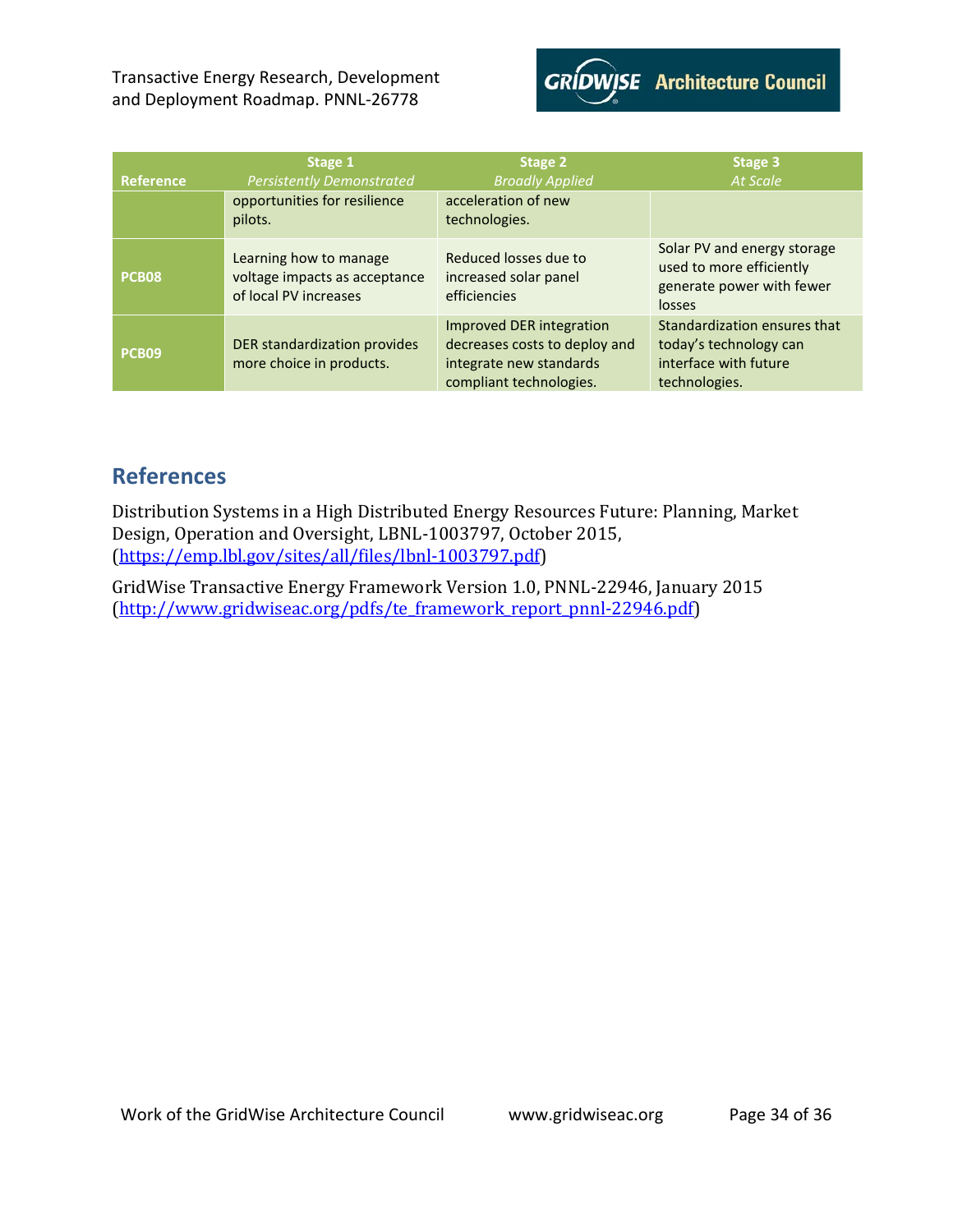

| Reference    | Stage 1<br><b>Persistently Demonstrated</b>                                      | Stage 2<br><b>Broadly Applied</b>                                                                               | Stage 3<br><b>At Scale</b>                                                                       |
|--------------|----------------------------------------------------------------------------------|-----------------------------------------------------------------------------------------------------------------|--------------------------------------------------------------------------------------------------|
|              | opportunities for resilience<br>pilots.                                          | acceleration of new<br>technologies.                                                                            |                                                                                                  |
| <b>PCB08</b> | Learning how to manage<br>voltage impacts as acceptance<br>of local PV increases | Reduced losses due to<br>increased solar panel<br>efficiencies                                                  | Solar PV and energy storage<br>used to more efficiently<br>generate power with fewer<br>losses   |
| <b>PCB09</b> | DER standardization provides<br>more choice in products.                         | Improved DER integration<br>decreases costs to deploy and<br>integrate new standards<br>compliant technologies. | Standardization ensures that<br>today's technology can<br>interface with future<br>technologies. |

# <span id="page-33-0"></span>**References**

Distribution Systems in a High Distributed Energy Resources Future: Planning, Market Design, Operation and Oversight, LBNL-1003797, October 2015, [\(https://emp.lbl.gov/sites/all/files/lbnl-1003797.pdf\)](https://emp.lbl.gov/sites/all/files/lbnl-1003797.pdf)

GridWise Transactive Energy Framework Version 1.0, PNNL-22946, January 2015 [\(http://www.gridwiseac.org/pdfs/te\\_framework\\_report\\_pnnl-22946.pdf\)](http://www.gridwiseac.org/pdfs/te_framework_report_pnnl-22946.pdf)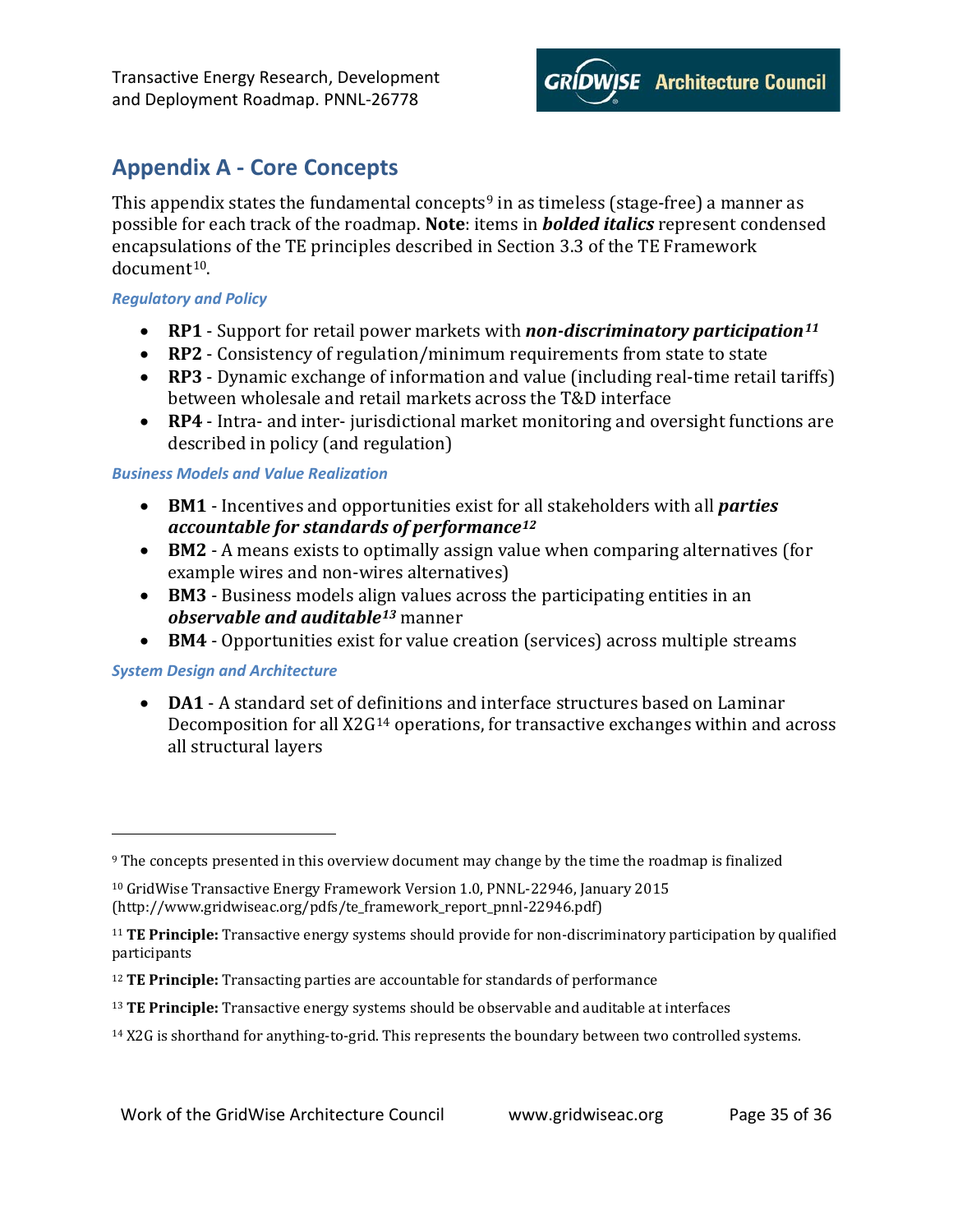# <span id="page-34-0"></span>**Appendix A - Core Concepts**

This appendix states the fundamental concepts<sup>[9](#page-34-4)</sup> in as timeless (stage-free) a manner as possible for each track of the roadmap. **Note**: items in *bolded italics* represent condensed encapsulations of the TE principles described in Section 3.3 of the TE Framework document[10.](#page-34-5)

#### <span id="page-34-1"></span>*Regulatory and Policy*

- **RP1** Support for retail power markets with *non-discriminatory participation[11](#page-34-6)*
- **RP2** Consistency of regulation/minimum requirements from state to state
- **RP3** Dynamic exchange of information and value (including real-time retail tariffs) between wholesale and retail markets across the T&D interface
- **RP4** Intra- and inter- jurisdictional market monitoring and oversight functions are described in policy (and regulation)

### <span id="page-34-2"></span>*Business Models and Value Realization*

- **BM1** Incentives and opportunities exist for all stakeholders with all *parties accountable for standards of performance[12](#page-34-7)*
- **BM2** A means exists to optimally assign value when comparing alternatives (for example wires and non-wires alternatives)
- **BM3** Business models align values across the participating entities in an *observable and auditable[13](#page-34-8)* manner
- **BM4** Opportunities exist for value creation (services) across multiple streams

### <span id="page-34-3"></span>*System Design and Architecture*

I

• **DA1** - A standard set of definitions and interface structures based on Laminar Decomposition for all X2G<sup>[14](#page-34-9)</sup> operations, for transactive exchanges within and across all structural layers

<span id="page-34-9"></span><sup>14</sup> X2G is shorthand for anything-to-grid. This represents the boundary between two controlled systems.

<span id="page-34-4"></span><sup>9</sup> The concepts presented in this overview document may change by the time the roadmap is finalized

<span id="page-34-5"></span><sup>10</sup> GridWise Transactive Energy Framework Version 1.0, PNNL-22946, January 2015 (http://www.gridwiseac.org/pdfs/te\_framework\_report\_pnnl-22946.pdf)

<span id="page-34-6"></span><sup>11</sup> **TE Principle:** Transactive energy systems should provide for non-discriminatory participation by qualified participants

<span id="page-34-7"></span><sup>12</sup> **TE Principle:** Transacting parties are accountable for standards of performance

<span id="page-34-8"></span><sup>13</sup> **TE Principle:** Transactive energy systems should be observable and auditable at interfaces